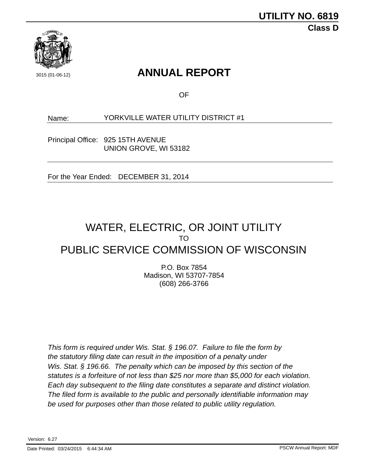

# 3015 (01-06-12) **ANNUAL REPORT**

OF

Name: YORKVILLE WATER UTILITY DISTRICT #1

Principal Office: 925 15TH AVENUE UNION GROVE, WI 53182

For the Year Ended: DECEMBER 31, 2014

# PUBLIC SERVICE COMMISSION OF WISCONSIN WATER, ELECTRIC, OR JOINT UTILITY TO

P.O. Box 7854 Madison, WI 53707-7854 (608) 266-3766

*This form is required under Wis. Stat. § 196.07. Failure to file the form by the statutory filing date can result in the imposition of a penalty under Wis. Stat. § 196.66. The penalty which can be imposed by this section of the statutes is a forfeiture of not less than \$25 nor more than \$5,000 for each violation. Each day subsequent to the filing date constitutes a separate and distinct violation. The filed form is available to the public and personally identifiable information may be used for purposes other than those related to public utility regulation.*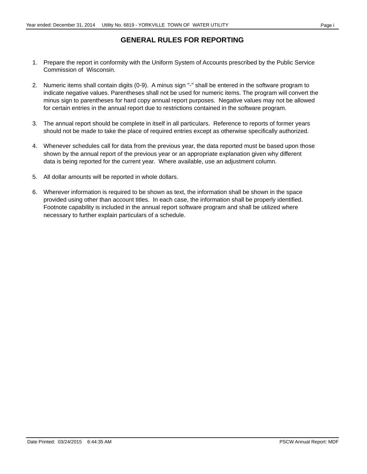#### **GENERAL RULES FOR REPORTING**

- 1. Prepare the report in conformity with the Uniform System of Accounts prescribed by the Public Service Commission of Wisconsin.
- 2. Numeric items shall contain digits (0-9). A minus sign "-" shall be entered in the software program to indicate negative values. Parentheses shall not be used for numeric items. The program will convert the minus sign to parentheses for hard copy annual report purposes. Negative values may not be allowed for certain entries in the annual report due to restrictions contained in the software program.
- 3. The annual report should be complete in itself in all particulars. Reference to reports of former years should not be made to take the place of required entries except as otherwise specifically authorized.
- 4. Whenever schedules call for data from the previous year, the data reported must be based upon those shown by the annual report of the previous year or an appropriate explanation given why different data is being reported for the current year. Where available, use an adjustment column.
- 5. All dollar amounts will be reported in whole dollars.
- 6. Wherever information is required to be shown as text, the information shall be shown in the space provided using other than account titles. In each case, the information shall be properly identified. Footnote capability is included in the annual report software program and shall be utilized where necessary to further explain particulars of a schedule.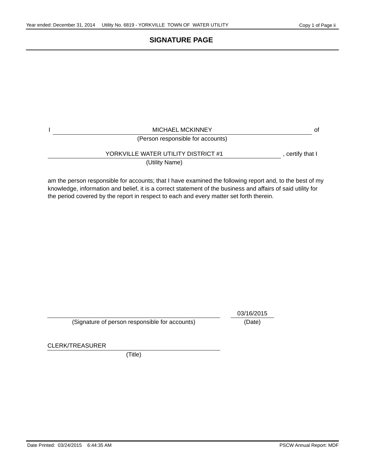# **SIGNATURE PAGE**

| <b>MICHAEL MCKINNEY</b><br>(Person responsible for accounts) | οf               |
|--------------------------------------------------------------|------------------|
| YORKVILLE WATER UTILITY DISTRICT #1<br>(Utility Name)        | , certify that I |

am the person responsible for accounts; that I have examined the following report and, to the best of my knowledge, information and belief, it is a correct statement of the business and affairs of said utility for the period covered by the report in respect to each and every matter set forth therein.

(Signature of person responsible for accounts) (Date)

03/16/2015

CLERK/TREASURER

(Title)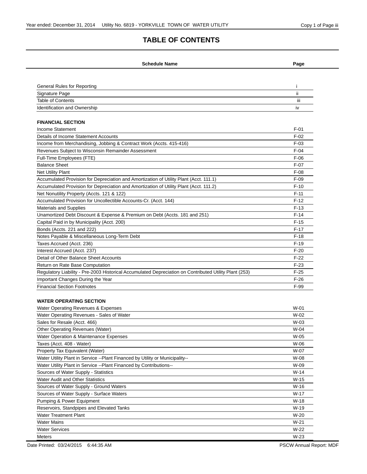#### **TABLE OF CONTENTS**

| <b>Schedule Name</b>                                                                                   | Page   |
|--------------------------------------------------------------------------------------------------------|--------|
|                                                                                                        |        |
| General Rules for Reporting                                                                            | Ť.     |
| Signature Page                                                                                         | ii.    |
| <b>Table of Contents</b>                                                                               | iii.   |
| Identification and Ownership                                                                           | iv     |
|                                                                                                        |        |
| <b>FINANCIAL SECTION</b>                                                                               |        |
| <b>Income Statement</b>                                                                                | $F-01$ |
| Details of Income Statement Accounts                                                                   | $F-02$ |
| Income from Merchandising, Jobbing & Contract Work (Accts. 415-416)                                    | $F-03$ |
| Revenues Subject to Wisconsin Remainder Assessment                                                     | $F-04$ |
| Full-Time Employees (FTE)                                                                              | $F-06$ |
| <b>Balance Sheet</b>                                                                                   | $F-07$ |
| <b>Net Utility Plant</b>                                                                               | $F-08$ |
| Accumulated Provision for Depreciation and Amortization of Utility Plant (Acct. 111.1)                 | $F-09$ |
| Accumulated Provision for Depreciation and Amortization of Utility Plant (Acct. 111.2)                 | $F-10$ |
| Net Nonutility Property (Accts. 121 & 122)                                                             | $F-11$ |
| Accumulated Provision for Uncollectible Accounts-Cr. (Acct. 144)                                       | $F-12$ |
| <b>Materials and Supplies</b>                                                                          | $F-13$ |
| Unamortized Debt Discount & Expense & Premium on Debt (Accts. 181 and 251)                             | $F-14$ |
| Capital Paid in by Municipality (Acct. 200)                                                            | $F-15$ |
| Bonds (Accts. 221 and 222)                                                                             | $F-17$ |
| Notes Payable & Miscellaneous Long-Term Debt                                                           | $F-18$ |
| Taxes Accrued (Acct. 236)                                                                              | $F-19$ |
| Interest Accrued (Acct. 237)                                                                           | $F-20$ |
| Detail of Other Balance Sheet Accounts                                                                 | $F-22$ |
| Return on Rate Base Computation                                                                        | $F-23$ |
| Regulatory Liability - Pre-2003 Historical Accumulated Depreciation on Contributed Utility Plant (253) | $F-25$ |
| Important Changes During the Year                                                                      | $F-26$ |
| <b>Financial Section Footnotes</b>                                                                     | F-99   |
| <b>WATER OPERATING SECTION</b>                                                                         |        |
| Water Operating Revenues & Expenses                                                                    | $W-01$ |
| Water Operating Revenues - Sales of Water                                                              | W-02   |
| Sales for Resale (Acct. 466)                                                                           | $W-03$ |
| <b>Other Operating Revenues (Water)</b>                                                                | W-04   |
| Water Operation & Maintenance Expenses                                                                 | W-05   |
| Taxes (Acct. 408 - Water)                                                                              | W-06   |
| Property Tax Equivalent (Water)                                                                        | W-07   |
| Water Utility Plant in Service -- Plant Financed by Utility or Municipality--                          | W-08   |
| Water Utility Plant in Service --Plant Financed by Contributions--                                     | W-09   |
|                                                                                                        |        |
| Sources of Water Supply - Statistics<br>Water Audit and Other Statistics                               | $W-14$ |
|                                                                                                        | $W-15$ |
| Sources of Water Supply - Ground Waters                                                                | $W-16$ |
| Sources of Water Supply - Surface Waters                                                               | $W-17$ |
| Pumping & Power Equipment                                                                              | W-18   |
| Reservoirs, Standpipes and Elevated Tanks                                                              | $W-19$ |
| <b>Water Treatment Plant</b>                                                                           | $W-20$ |
| <b>Water Mains</b>                                                                                     | $W-21$ |
| <b>Water Services</b>                                                                                  | $W-22$ |
| Meters                                                                                                 | $W-23$ |

Date Printed: 03/24/2015 6:44:35 AM PSCW Annual Report: MDF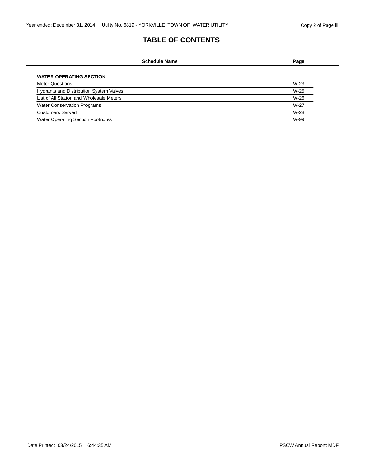# **TABLE OF CONTENTS**

| Page   |
|--------|
|        |
| $W-23$ |
| $W-25$ |
| $W-26$ |
| W-27   |
| $W-28$ |
| W-99   |
|        |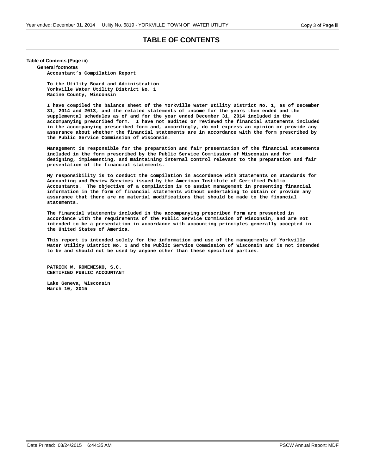#### **TABLE OF CONTENTS**

#### **Table of Contents (Page iii)**

**General footnotes**

**Accountant's Compilation Report**

**To the Utility Board and Administration Yorkville Water Utility District No. 1 Racine County, Wisconsin**

**I have compiled the balance sheet of the Yorkville Water Utility District No. 1, as of December 31, 2014 and 2013, and the related statements of income for the years then ended and the supplemental schedules as of and for the year ended December 31, 2014 included in the accompanying prescribed form. I have not audited or reviewed the financial statements included in the accompanying prescribed form and, accordingly, do not express an opinion or provide any assurance about whether the financial statements are in accordance with the form prescribed by the Public Service Commission of Wisconsin.**

**Management is responsible for the preparation and fair presentation of the financial statements included in the form prescribed by the Public Service Commission of Wisconsin and for designing, implementing, and maintaining internal control relevant to the preparation and fair presentation of the financial statements.**

**My responsibility is to conduct the compilation in accordance with Statements on Standards for Accounting and Review Services issued by the American Institute of Certified Public Accountants. The objective of a compilation is to assist management in presenting financial information in the form of financial statements without undertaking to obtain or provide any assurance that there are no material modifications that should be made to the financial statements.**

**The financial statements included in the accompanying prescribed form are presented in accordance with the requirements of the Public Service Commission of Wisconsin, and are not intended to be a presentation in accordance with accounting principles generally accepted in the United States of America.**

**This report is intended solely for the information and use of the managements of Yorkville Water Utility District No. 1 and the Public Service Commission of Wisconsin and is not intended to be and should not be used by anyone other than these specified parties.**

**PATRICK W. ROMENESKO, S.C. CERTIFIED PUBLIC ACCOUNTANT**

**Lake Geneva, Wisconsin March 10, 2015**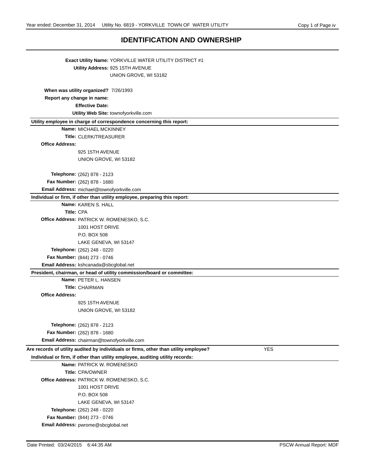#### **IDENTIFICATION AND OWNERSHIP**

|                            | <b>Exact Utility Name: YORKVILLE WATER UTILITY DISTRICT #1</b>                                     |
|----------------------------|----------------------------------------------------------------------------------------------------|
|                            | Utility Address: 925 15TH AVENUE                                                                   |
|                            | UNION GROVE, WI 53182                                                                              |
|                            |                                                                                                    |
|                            | When was utility organized? 7/26/1993                                                              |
| Report any change in name: |                                                                                                    |
|                            | <b>Effective Date:</b>                                                                             |
|                            | Utility Web Site: townofyorkville.com                                                              |
|                            | Utility employee in charge of correspondence concerning this report:                               |
|                            | Name: MICHAEL MCKINNEY                                                                             |
|                            | <b>Title: CLERK/TREASURER</b>                                                                      |
| <b>Office Address:</b>     |                                                                                                    |
|                            | 925 15TH AVENUE                                                                                    |
|                            | UNION GROVE, WI 53182                                                                              |
|                            |                                                                                                    |
|                            | Telephone: (262) 878 - 2123                                                                        |
|                            | Fax Number: (262) 878 - 1680                                                                       |
|                            | Email Address: michael@townofyorkville.com                                                         |
|                            | Individual or firm, if other than utility employee, preparing this report:                         |
|                            | Name: KAREN S. HALL                                                                                |
| Title: CPA                 |                                                                                                    |
|                            | Office Address: PATRICK W. ROMENESKO, S.C.                                                         |
|                            | 1001 HOST DRIVE                                                                                    |
|                            | P.O. BOX 508                                                                                       |
|                            | LAKE GENEVA, WI 53147                                                                              |
|                            | Telephone: (262) 248 - 0220                                                                        |
|                            | Fax Number: (844) 273 - 0746                                                                       |
|                            | Email Address: kshcanada@sbcglobal.net                                                             |
|                            | President, chairman, or head of utility commission/board or committee:                             |
|                            | Name: PETER L. HANSEN                                                                              |
|                            | <b>Title: CHAIRMAN</b>                                                                             |
| <b>Office Address:</b>     |                                                                                                    |
|                            | 925 15TH AVENUE                                                                                    |
|                            | UNION GROVE, WI 53182                                                                              |
|                            |                                                                                                    |
|                            | Telephone: (262) 878 - 2123                                                                        |
|                            | Fax Number: (262) 878 - 1680                                                                       |
|                            | Email Address: chairman@townofyorkville.com                                                        |
|                            | Are records of utility audited by individuals or firms, other than utility employee?<br><b>YES</b> |
|                            | Individual or firm, if other than utility employee, auditing utility records:                      |
|                            | Name: PATRICK W. ROMENESKO                                                                         |
|                            | Title: CPA/OWNER                                                                                   |
|                            | Office Address: PATRICK W. ROMENESKO, S.C.                                                         |
|                            | 1001 HOST DRIVE                                                                                    |
|                            | P.O. BOX 508                                                                                       |
|                            | LAKE GENEVA, WI 53147                                                                              |
|                            | Telephone: (262) 248 - 0220                                                                        |
|                            | Fax Number: (844) 273 - 0746                                                                       |
|                            | Email Address: pwrome@sbcglobal.net                                                                |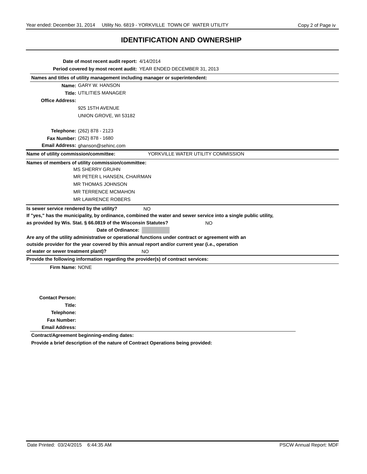# **IDENTIFICATION AND OWNERSHIP**

| Date of most recent audit report: 4/14/2014                                                        |                                                                                                                  |  |
|----------------------------------------------------------------------------------------------------|------------------------------------------------------------------------------------------------------------------|--|
| Period covered by most recent audit: YEAR ENDED DECEMBER 31, 2013                                  |                                                                                                                  |  |
| Names and titles of utility management including manager or superintendent:                        |                                                                                                                  |  |
| Name: GARY W. HANSON                                                                               |                                                                                                                  |  |
| <b>Title: UTILITIES MANAGER</b>                                                                    |                                                                                                                  |  |
| <b>Office Address:</b>                                                                             |                                                                                                                  |  |
| 925 15TH AVENUE                                                                                    |                                                                                                                  |  |
| UNION GROVE, WI 53182                                                                              |                                                                                                                  |  |
| <b>Telephone:</b> (262) 878 - 2123                                                                 |                                                                                                                  |  |
| Fax Number: (262) 878 - 1680                                                                       |                                                                                                                  |  |
| Email Address: ghanson@sehinc.com                                                                  |                                                                                                                  |  |
| Name of utility commission/committee:                                                              | YORKVILLE WATER UTILITY COMMISSION                                                                               |  |
| Names of members of utility commission/committee:<br><b>MS SHERRY GRUHN</b>                        |                                                                                                                  |  |
| MR PETER L HANSEN, CHAIRMAN                                                                        |                                                                                                                  |  |
| <b>MR THOMAS JOHNSON</b>                                                                           |                                                                                                                  |  |
| <b>MR TERRENCE MCMAHON</b>                                                                         |                                                                                                                  |  |
| <b>MR LAWRENCE ROBERS</b>                                                                          |                                                                                                                  |  |
| Is sewer service rendered by the utility?                                                          | <b>NO</b>                                                                                                        |  |
|                                                                                                    | If "yes," has the municipality, by ordinance, combined the water and sewer service into a single public utility, |  |
| as provided by Wis. Stat. § 66.0819 of the Wisconsin Statutes?                                     | <b>NO</b>                                                                                                        |  |
| Date of Ordinance:                                                                                 |                                                                                                                  |  |
| Are any of the utility administrative or operational functions under contract or agreement with an |                                                                                                                  |  |
| outside provider for the year covered by this annual report and/or current year (i.e., operation   |                                                                                                                  |  |
| of water or sewer treatment plant)?                                                                | NO                                                                                                               |  |
| Provide the following information regarding the provider(s) of contract services:                  |                                                                                                                  |  |
| Firm Name: NONE                                                                                    |                                                                                                                  |  |
|                                                                                                    |                                                                                                                  |  |
|                                                                                                    |                                                                                                                  |  |
| <b>Contact Person:</b>                                                                             |                                                                                                                  |  |
| Title:                                                                                             |                                                                                                                  |  |
| Telephone:                                                                                         |                                                                                                                  |  |
| <b>Fax Number:</b>                                                                                 |                                                                                                                  |  |
| <b>Email Address:</b>                                                                              |                                                                                                                  |  |
| Contract/Agreement beginning-ending dates:                                                         |                                                                                                                  |  |

**Provide a brief description of the nature of Contract Operations being provided:**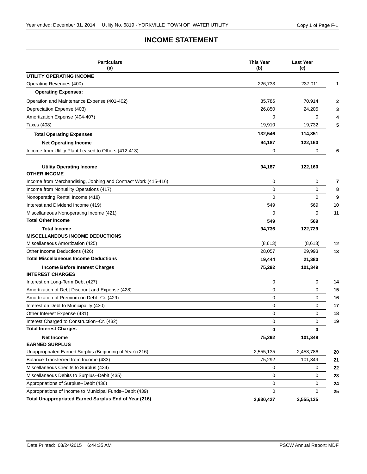#### **INCOME STATEMENT**

| <b>Particulars</b><br>(a)                                      | This Year<br>(b) | <b>Last Year</b><br>(c) |    |
|----------------------------------------------------------------|------------------|-------------------------|----|
| UTILITY OPERATING INCOME                                       |                  |                         |    |
| Operating Revenues (400)                                       | 226,733          | 237,011                 | 1  |
| <b>Operating Expenses:</b>                                     |                  |                         |    |
| Operation and Maintenance Expense (401-402)                    | 85,786           | 70,914                  | 2  |
| Depreciation Expense (403)                                     | 26,850           | 24,205                  | 3  |
| Amortization Expense (404-407)                                 | 0                | 0                       |    |
| <b>Taxes (408)</b>                                             | 19,910           | 19,732                  | 5  |
| <b>Total Operating Expenses</b>                                | 132,546          | 114,851                 |    |
| <b>Net Operating Income</b>                                    | 94,187           | 122,160                 |    |
| Income from Utility Plant Leased to Others (412-413)           | 0                | 0                       | 6  |
|                                                                |                  |                         |    |
| <b>Utility Operating Income</b><br><b>OTHER INCOME</b>         | 94,187           | 122,160                 |    |
| Income from Merchandising, Jobbing and Contract Work (415-416) | 0                | 0                       | 7  |
| Income from Nonutility Operations (417)                        | $\Omega$         | $\mathbf 0$             | 8  |
| Nonoperating Rental Income (418)                               | $\mathbf 0$      | $\mathbf 0$             | 9  |
| Interest and Dividend Income (419)                             | 549              | 569                     | 10 |
| Miscellaneous Nonoperating Income (421)                        | 0                | $\mathbf 0$             | 11 |
| <b>Total Other Income</b>                                      | 549              | 569                     |    |
| <b>Total Income</b>                                            | 94,736           | 122,729                 |    |
| <b>MISCELLANEOUS INCOME DEDUCTIONS</b>                         |                  |                         |    |
| Miscellaneous Amortization (425)                               | (8,613)          | (8,613)                 | 12 |
| Other Income Deductions (426)                                  | 28,057           | 29,993                  | 13 |
| <b>Total Miscellaneous Income Deductions</b>                   | 19,444           | 21,380                  |    |
| <b>Income Before Interest Charges</b>                          | 75,292           | 101,349                 |    |
| <b>INTEREST CHARGES</b>                                        |                  |                         |    |
| Interest on Long-Term Debt (427)                               | 0                | 0                       | 14 |
| Amortization of Debt Discount and Expense (428)                | $\mathbf 0$      | $\mathbf 0$             | 15 |
| Amortization of Premium on Debt--Cr. (429)                     | 0                | 0                       | 16 |
| Interest on Debt to Municipality (430)                         | 0                | 0                       | 17 |
| Other Interest Expense (431)                                   | 0                | 0                       | 18 |
| Interest Charged to Construction--Cr. (432)                    | 0                | $\mathbf 0$             | 19 |
| <b>Total Interest Charges</b>                                  | 0                | 0                       |    |
| <b>Net Income</b>                                              | 75,292           | 101,349                 |    |
| <b>EARNED SURPLUS</b>                                          |                  |                         |    |
| Unappropriated Earned Surplus (Beginning of Year) (216)        | 2,555,135        | 2,453,786               | 20 |
| Balance Transferred from Income (433)                          | 75,292           | 101,349                 | 21 |
| Miscellaneous Credits to Surplus (434)                         | 0                | 0                       | 22 |
| Miscellaneous Debits to Surplus--Debit (435)                   | 0                | 0                       | 23 |
| Appropriations of Surplus--Debit (436)                         | 0                | 0                       | 24 |
| Appropriations of Income to Municipal Funds--Debit (439)       | 0                | 0                       | 25 |
| Total Unappropriated Earned Surplus End of Year (216)          | 2,630,427        | 2,555,135               |    |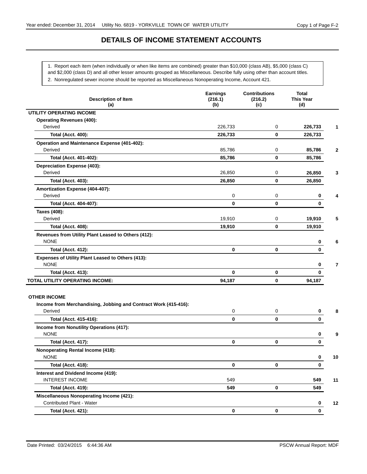# **DETAILS OF INCOME STATEMENT ACCOUNTS**

1. Report each item (when individually or when like items are combined) greater than \$10,000 (class AB), \$5,000 (class C) and \$2,000 (class D) and all other lesser amounts grouped as Miscellaneous. Describe fully using other than account titles. 2. Nonregulated sewer income should be reported as Miscellaneous Nonoperating Income, Account 421.

| <b>Description of Item</b><br>(a)                                                                 | <b>Earnings</b><br>(216.1)<br>(b) | <b>Contributions</b><br>(216.2)<br>(c) | <b>Total</b><br>This Year<br>(d) |
|---------------------------------------------------------------------------------------------------|-----------------------------------|----------------------------------------|----------------------------------|
| UTILITY OPERATING INCOME                                                                          |                                   |                                        |                                  |
| <b>Operating Revenues (400):</b>                                                                  |                                   |                                        |                                  |
| Derived                                                                                           | 226,733                           | 0                                      | 226,733                          |
| <b>Total (Acct. 400):</b>                                                                         | 226,733                           | 0                                      | 226,733                          |
| Operation and Maintenance Expense (401-402):                                                      |                                   |                                        |                                  |
| Derived                                                                                           | 85,786                            | 0                                      | 85,786                           |
| Total (Acct. 401-402):                                                                            | 85,786                            | 0                                      | 85,786                           |
| <b>Depreciation Expense (403):</b>                                                                |                                   |                                        |                                  |
| Derived                                                                                           | 26,850                            | 0                                      | 26,850                           |
| <b>Total (Acct. 403):</b>                                                                         | 26,850                            | 0                                      | 26,850                           |
| Amortization Expense (404-407):                                                                   |                                   |                                        |                                  |
| Derived                                                                                           | 0                                 | 0                                      | 0                                |
| Total (Acct. 404-407):                                                                            | $\bf{0}$                          | 0                                      | 0                                |
| Taxes (408):                                                                                      |                                   |                                        |                                  |
| Derived                                                                                           | 19,910                            | 0                                      | 19,910                           |
| <b>Total (Acct. 408):</b>                                                                         | 19,910                            | 0                                      | 19,910                           |
| Revenues from Utility Plant Leased to Others (412):<br><b>NONE</b>                                |                                   |                                        | 0                                |
| <b>Total (Acct. 412):</b>                                                                         | 0                                 | 0                                      | $\mathbf{0}$                     |
| Expenses of Utility Plant Leased to Others (413):<br><b>NONE</b>                                  |                                   |                                        | 0                                |
| <b>Total (Acct. 413):</b>                                                                         | $\mathbf 0$                       | 0                                      | 0                                |
| TOTAL UTILITY OPERATING INCOME:                                                                   | 94,187                            | 0                                      | 94,187                           |
| <b>OTHER INCOME</b><br>Income from Merchandising, Jobbing and Contract Work (415-416):<br>Derived | 0                                 | 0                                      | 0                                |
| Total (Acct. 415-416):                                                                            | 0                                 | 0                                      | 0                                |
| Income from Nonutility Operations (417):<br><b>NONE</b>                                           |                                   |                                        | 0                                |
| <b>Total (Acct. 417):</b>                                                                         | $\bf{0}$                          | 0                                      | 0                                |
| <b>Nonoperating Rental Income (418):</b><br>NONE                                                  |                                   |                                        | 0<br>10                          |
| <b>Total (Acct. 418):</b>                                                                         | 0                                 | 0                                      | 0                                |
| Interest and Dividend Income (419):                                                               |                                   |                                        |                                  |
| <b>INTEREST INCOME</b>                                                                            | 549                               |                                        | 549<br>11                        |
| <b>Total (Acct. 419):</b>                                                                         | 549                               | 0                                      | 549                              |
| <b>Miscellaneous Nonoperating Income (421):</b><br>Contributed Plant - Water                      |                                   |                                        | 0<br>12                          |
| <b>Total (Acct. 421):</b>                                                                         | 0                                 | 0                                      | 0                                |
|                                                                                                   |                                   |                                        |                                  |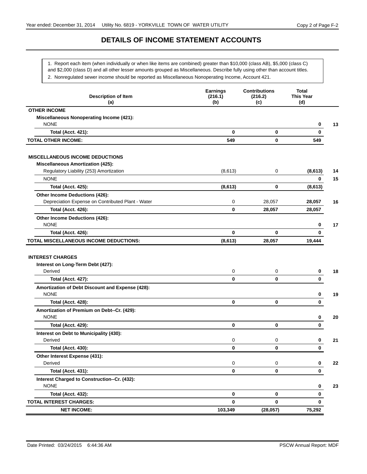# **DETAILS OF INCOME STATEMENT ACCOUNTS**

1. Report each item (when individually or when like items are combined) greater than \$10,000 (class AB), \$5,000 (class C)

and \$2,000 (class D) and all other lesser amounts grouped as Miscellaneous. Describe fully using other than account titles.

2. Nonregulated sewer income should be reported as Miscellaneous Nonoperating Income, Account 421.

| <b>Description of Item</b><br>(a)                                       | <b>Earnings</b><br>(216.1)<br>(b) | <b>Contributions</b><br>(216.2)<br>(c) | Total<br><b>This Year</b><br>(d) |    |
|-------------------------------------------------------------------------|-----------------------------------|----------------------------------------|----------------------------------|----|
| <b>OTHER INCOME</b>                                                     |                                   |                                        |                                  |    |
| <b>Miscellaneous Nonoperating Income (421):</b><br><b>NONE</b>          |                                   |                                        | 0                                | 13 |
| <b>Total (Acct. 421):</b>                                               | 0                                 | 0                                      | 0                                |    |
| <b>TOTAL OTHER INCOME:</b>                                              | 549                               | 0                                      | 549                              |    |
| <b>MISCELLANEOUS INCOME DEDUCTIONS</b>                                  |                                   |                                        |                                  |    |
| <b>Miscellaneous Amortization (425):</b>                                |                                   |                                        |                                  |    |
| Regulatory Liability (253) Amortization                                 | (8,613)                           | 0                                      | (8,613)                          | 14 |
| <b>NONE</b>                                                             |                                   |                                        | 0                                | 15 |
| <b>Total (Acct. 425):</b>                                               | (8,613)                           | 0                                      | (8,613)                          |    |
| Other Income Deductions (426):                                          |                                   |                                        |                                  |    |
| Depreciation Expense on Contributed Plant - Water                       | 0                                 | 28,057                                 | 28,057                           | 16 |
| <b>Total (Acct. 426):</b>                                               | 0                                 | 28,057                                 | 28,057                           |    |
| Other Income Deductions (426):                                          |                                   |                                        |                                  |    |
| <b>NONE</b>                                                             |                                   |                                        | 0                                | 17 |
| <b>Total (Acct. 426):</b>                                               | 0                                 | $\bf{0}$                               | 0                                |    |
| TOTAL MISCELLANEOUS INCOME DEDUCTIONS:                                  | (8,613)                           | 28,057                                 | 19,444                           |    |
| <b>INTEREST CHARGES</b><br>Interest on Long-Term Debt (427):<br>Derived | 0                                 | 0                                      | 0                                | 18 |
| <b>Total (Acct. 427):</b>                                               | 0                                 | 0                                      | 0                                |    |
| Amortization of Debt Discount and Expense (428):<br><b>NONE</b>         |                                   |                                        | 0                                | 19 |
| <b>Total (Acct. 428):</b>                                               | 0                                 | 0                                      | 0                                |    |
| Amortization of Premium on Debt--Cr. (429):<br><b>NONE</b>              |                                   |                                        | 0                                | 20 |
| <b>Total (Acct. 429):</b>                                               | 0                                 | 0                                      | 0                                |    |
| Interest on Debt to Municipality (430):<br>Derived                      | 0                                 | 0                                      | 0                                | 21 |
| <b>Total (Acct. 430):</b>                                               | 0                                 | 0                                      | 0                                |    |
|                                                                         |                                   |                                        |                                  |    |
| Other Interest Expense (431):<br>Derived                                | 0                                 | 0                                      | 0                                | 22 |
| <b>Total (Acct. 431):</b>                                               | $\mathbf 0$                       | 0                                      | 0                                |    |
| Interest Charged to Construction--Cr. (432):                            |                                   |                                        |                                  |    |
| <b>NONE</b>                                                             |                                   |                                        | 0                                | 23 |
| <b>Total (Acct. 432):</b>                                               | $\mathbf 0$                       | 0                                      | 0                                |    |
| <b>TOTAL INTEREST CHARGES:</b>                                          | 0                                 | 0                                      | 0                                |    |
| <b>NET INCOME:</b>                                                      | 103,349                           | (28, 057)                              | 75,292                           |    |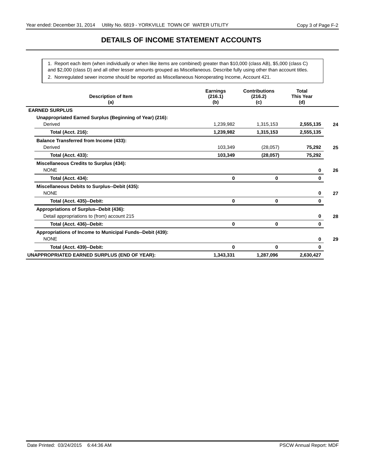# **DETAILS OF INCOME STATEMENT ACCOUNTS**

1. Report each item (when individually or when like items are combined) greater than \$10,000 (class AB), \$5,000 (class C)

and \$2,000 (class D) and all other lesser amounts grouped as Miscellaneous. Describe fully using other than account titles.

2. Nonregulated sewer income should be reported as Miscellaneous Nonoperating Income, Account 421.

| <b>Description of Item</b><br>(a)                         | <b>Earnings</b><br>(216.1)<br>(b) | <b>Contributions</b><br>(216.2)<br>(c) | <b>Total</b><br><b>This Year</b><br>(d) |    |
|-----------------------------------------------------------|-----------------------------------|----------------------------------------|-----------------------------------------|----|
| <b>EARNED SURPLUS</b>                                     |                                   |                                        |                                         |    |
| Unappropriated Earned Surplus (Beginning of Year) (216):  |                                   |                                        |                                         |    |
| Derived                                                   | 1,239,982                         | 1,315,153                              | 2,555,135                               | 24 |
| <b>Total (Acct. 216):</b>                                 | 1,239,982                         | 1,315,153                              | 2,555,135                               |    |
| <b>Balance Transferred from Income (433):</b>             |                                   |                                        |                                         |    |
| Derived                                                   | 103,349                           | (28,057)                               | 75,292                                  | 25 |
| <b>Total (Acct. 433):</b>                                 | 103,349                           | (28, 057)                              | 75,292                                  |    |
| Miscellaneous Credits to Surplus (434):                   |                                   |                                        |                                         |    |
| <b>NONE</b>                                               |                                   |                                        | 0                                       | 26 |
| <b>Total (Acct. 434):</b>                                 | 0                                 | 0                                      | 0                                       |    |
| Miscellaneous Debits to Surplus--Debit (435):             |                                   |                                        |                                         |    |
| <b>NONE</b>                                               |                                   |                                        | 0                                       | 27 |
| Total (Acct. 435)--Debit:                                 | 0                                 | $\mathbf 0$                            | 0                                       |    |
| Appropriations of Surplus--Debit (436):                   |                                   |                                        |                                         |    |
| Detail appropriations to (from) account 215               |                                   |                                        | 0                                       | 28 |
| Total (Acct. 436)--Debit:                                 | 0                                 | $\mathbf 0$                            | 0                                       |    |
| Appropriations of Income to Municipal Funds--Debit (439): |                                   |                                        |                                         |    |
| <b>NONE</b>                                               |                                   |                                        | 0                                       | 29 |
| Total (Acct. 439)--Debit:                                 | 0                                 | 0                                      | 0                                       |    |
| UNAPPROPRIATED EARNED SURPLUS (END OF YEAR):              | 1,343,331                         | 1,287,096                              | 2,630,427                               |    |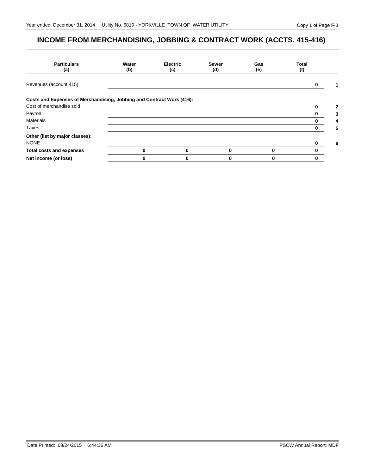# **INCOME FROM MERCHANDISING, JOBBING & CONTRACT WORK (ACCTS. 415-416)**

| <b>Particulars</b><br>(a)                                             | Water<br>(b) | <b>Electric</b><br>(c) | <b>Sewer</b><br>(d) | Gas<br>(e) | <b>Total</b><br>(f) |   |
|-----------------------------------------------------------------------|--------------|------------------------|---------------------|------------|---------------------|---|
| Revenues (account 415)                                                |              |                        |                     |            |                     |   |
| Costs and Expenses of Merchandising, Jobbing and Contract Work (416): |              |                        |                     |            |                     |   |
| Cost of merchandise sold                                              |              |                        |                     |            |                     | 2 |
| Payroll                                                               |              |                        |                     |            |                     |   |
| <b>Materials</b>                                                      |              |                        |                     |            |                     |   |
| Taxes                                                                 |              |                        |                     |            |                     | 5 |
| Other (list by major classes):                                        |              |                        |                     |            |                     |   |
| <b>NONE</b>                                                           |              |                        |                     |            |                     | 6 |
| <b>Total costs and expenses</b>                                       | 0            | 0                      | $\mathbf{0}$        | 0          |                     |   |
| Net income (or loss)                                                  |              | n                      |                     |            |                     |   |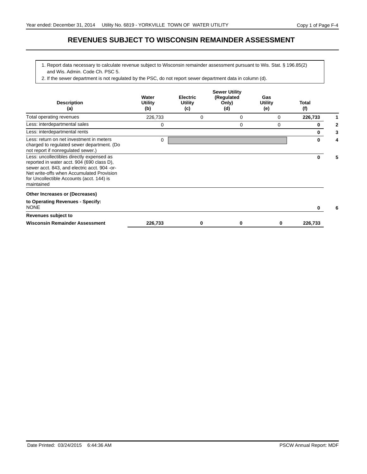#### **REVENUES SUBJECT TO WISCONSIN REMAINDER ASSESSMENT**

- 1. Report data necessary to calculate revenue subject to Wisconsin remainder assessment pursuant to Wis. Stat. § 196.85(2) and Wis. Admin. Code Ch. PSC 5.
- 2. If the sewer department is not regulated by the PSC, do not report sewer department data in column (d).

| <b>Description</b><br>(a)                                                                                                                                                                                                                       | Water<br><b>Utility</b><br>(b) | <b>Electric</b><br>Utility<br>(c) | <b>Sewer Utility</b><br>(Regulated<br>Only)<br>(d) | Gas<br>Utility<br>(e) | Total<br>(f) |   |
|-------------------------------------------------------------------------------------------------------------------------------------------------------------------------------------------------------------------------------------------------|--------------------------------|-----------------------------------|----------------------------------------------------|-----------------------|--------------|---|
| Total operating revenues                                                                                                                                                                                                                        | 226,733                        | 0                                 | 0                                                  | 0                     | 226,733      |   |
| Less: interdepartmental sales                                                                                                                                                                                                                   | 0                              |                                   | 0                                                  | 0                     | 0            | 2 |
| Less: interdepartmental rents                                                                                                                                                                                                                   |                                |                                   |                                                    |                       | $\bf{0}$     | 3 |
| Less: return on net investment in meters<br>charged to regulated sewer department. (Do<br>not report if nonregulated sewer.)                                                                                                                    | 0                              |                                   |                                                    |                       | 0            |   |
| Less: uncollectibles directly expensed as<br>reported in water acct. 904 (690 class D),<br>sewer acct. 843, and electric acct. 904 -or-<br>Net write-offs when Accumulated Provision<br>for Uncollectible Accounts (acct. 144) is<br>maintained |                                |                                   |                                                    |                       | 0            | 5 |
| Other Increases or (Decreases)                                                                                                                                                                                                                  |                                |                                   |                                                    |                       |              |   |
| to Operating Revenues - Specify:<br><b>NONE</b>                                                                                                                                                                                                 |                                |                                   |                                                    |                       | 0            |   |
| Revenues subject to                                                                                                                                                                                                                             |                                |                                   |                                                    |                       |              |   |
| <b>Wisconsin Remainder Assessment</b>                                                                                                                                                                                                           | 226,733                        | 0                                 |                                                    | 0                     | 226,733      |   |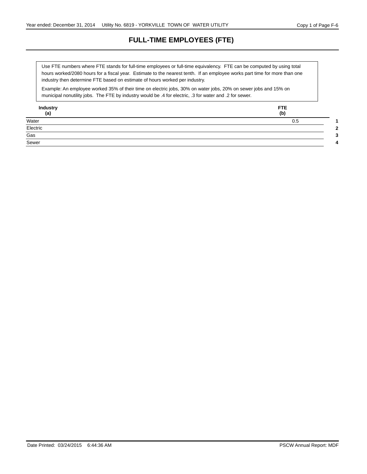# **FULL-TIME EMPLOYEES (FTE)**

hours worked/2080 hours for a fiscal year. Estimate to the nearest tenth. If an employee works part time for more than one Use FTE numbers where FTE stands for full-time employees or full-time equivalency. FTE can be computed by using total industry then determine FTE based on estimate of hours worked per industry.

Example: An employee worked 35% of their time on electric jobs, 30% on water jobs, 20% on sewer jobs and 15% on municipal nonutility jobs. The FTE by industry would be .4 for electric, .3 for water and .2 for sewer.

| <b>Industry</b><br>(a) | <b>FTE</b><br>(b) |
|------------------------|-------------------|
| Water                  | 0.5               |
| Electric               | c                 |
| $\overline{Gas}$       |                   |
| Sewer                  |                   |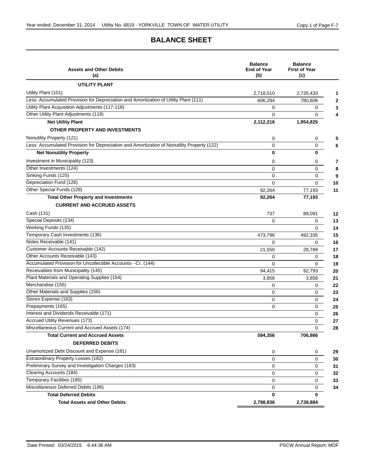# **BALANCE SHEET**

| <b>Assets and Other Debits</b><br>(a)                                                      | <b>Balance</b><br><b>End of Year</b><br>(b) | <b>Balance</b><br><b>First of Year</b><br>(c) |
|--------------------------------------------------------------------------------------------|---------------------------------------------|-----------------------------------------------|
| <b>UTILITY PLANT</b>                                                                       |                                             |                                               |
| Utility Plant (101)                                                                        | 2,718,510                                   | 2,735,433                                     |
| Less: Accumulated Provision for Depreciation and Amortization of Utility Plant (111)       | 606,294                                     | 780,608                                       |
| Utility Plant Acquisition Adjustments (117-118)                                            | 0                                           | 0                                             |
| Other Utility Plant Adjustments (119)                                                      | 0                                           | 0                                             |
| <b>Net Utility Plant</b>                                                                   | 2,112,216                                   | 1,954,825                                     |
| OTHER PROPERTY AND INVESTMENTS                                                             |                                             |                                               |
| Nonutility Property (121)                                                                  | 0                                           | 0                                             |
| Less: Accumulated Provision for Depreciation and Amortization of Nonutility Property (122) | 0                                           | 0                                             |
| <b>Net Nonutility Property</b>                                                             | 0                                           | 0                                             |
| Investment in Municipality (123)                                                           | 0                                           | 0                                             |
| Other Investments (124)                                                                    | 0                                           | 0                                             |
| Sinking Funds (125)                                                                        | 0                                           | 0                                             |
| Depreciation Fund (126)                                                                    | 0                                           | 0                                             |
| Other Special Funds (128)                                                                  | 92,264                                      | 77,193                                        |
| <b>Total Other Property and Investments</b>                                                | 92,264                                      | 77,193                                        |
| <b>CURRENT AND ACCRUED ASSETS</b>                                                          |                                             |                                               |
| Cash (131)                                                                                 | 737                                         | 89,091                                        |
| Special Deposits (134)                                                                     | $\Omega$                                    | 0                                             |
| Working Funds (135)                                                                        |                                             | 0                                             |
| Temporary Cash Investments (136)                                                           | 473,796                                     | 492,335                                       |
| Notes Receivable (141)                                                                     | $\Omega$                                    | 0                                             |
| Customer Accounts Receivable (142)                                                         | 21,550                                      | 28,789                                        |
| Other Accounts Receivable (143)                                                            | 0                                           | 0                                             |
| Accumulated Provision for Uncollectible Accounts- -Cr. (144)                               | $\Omega$                                    | $\Omega$                                      |
| Receivables from Municipality (145)                                                        | 94,415                                      | 92,793                                        |
| Plant Materials and Operating Supplies (154)                                               | 3,858                                       | 3,858                                         |
| Merchandise (155)                                                                          | 0                                           | 0                                             |
| Other Materials and Supplies (156)                                                         | $\mathbf 0$                                 | 0                                             |
| Stores Expense (163)                                                                       | 0                                           | 0                                             |
| Prepayments (165)                                                                          | 0                                           | 0                                             |
| Interest and Dividends Receivable (171)                                                    |                                             | 0                                             |
| <b>Accrued Utility Revenues (173)</b><br>Miscellaneous Current and Accrued Assets (174)    |                                             | 0                                             |
|                                                                                            |                                             | 0                                             |
| <b>Total Current and Accrued Assets</b>                                                    | 594,356                                     | 706,866                                       |
| <b>DEFERRED DEBITS</b>                                                                     |                                             |                                               |
| Unamortized Debt Discount and Expense (181)                                                | 0                                           | 0                                             |
| Extraordinary Property Losses (182)                                                        | 0                                           | 0                                             |
| Preliminary Survey and Investigation Charges (183)                                         | 0                                           | 0                                             |
| Clearing Accounts (184)                                                                    | 0                                           | 0                                             |
| Temporary Facilities (185)                                                                 | 0                                           | 0                                             |
| Miscellaneous Deferred Debits (186)<br><b>Total Deferred Debits</b>                        | 0<br>0                                      | 0<br>0                                        |
| <b>Total Assets and Other Debits</b>                                                       | 2,798,836                                   | 2,738,884                                     |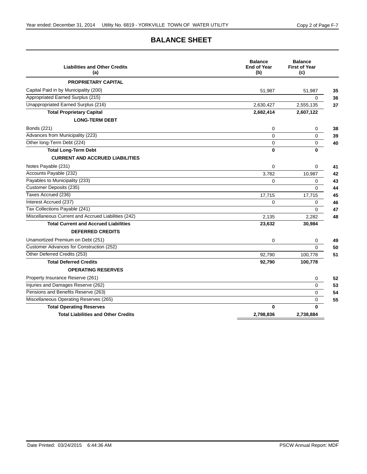# **BALANCE SHEET**

| <b>Liabilities and Other Credits</b><br>(a)         | <b>Balance</b><br><b>End of Year</b><br>(b) | <b>Balance</b><br><b>First of Year</b><br>(c) |    |
|-----------------------------------------------------|---------------------------------------------|-----------------------------------------------|----|
| <b>PROPRIETARY CAPITAL</b>                          |                                             |                                               |    |
| Capital Paid in by Municipality (200)               | 51,987                                      | 51,987                                        | 35 |
| Appropriated Earned Surplus (215)                   |                                             | $\Omega$                                      | 36 |
| Unappropriated Earned Surplus (216)                 | 2.630.427                                   | 2,555,135                                     | 37 |
| <b>Total Proprietary Capital</b>                    | 2,682,414                                   | 2,607,122                                     |    |
| <b>LONG-TERM DEBT</b>                               |                                             |                                               |    |
| Bonds (221)                                         | 0                                           | 0                                             | 38 |
| Advances from Municipality (223)                    | $\Omega$                                    | 0                                             | 39 |
| Other long-Term Debt (224)                          | 0                                           | 0                                             | 40 |
| <b>Total Long-Term Debt</b>                         | $\bf{0}$                                    | 0                                             |    |
| <b>CURRENT AND ACCRUED LIABILITIES</b>              |                                             |                                               |    |
| Notes Payable (231)                                 | $\Omega$                                    | 0                                             | 41 |
| Accounts Payable (232)                              | 3.782                                       | 10.987                                        | 42 |
| Payables to Municipality (233)                      | $\mathbf 0$                                 | 0                                             | 43 |
| Customer Deposits (235)                             |                                             | $\Omega$                                      | 44 |
| Taxes Accrued (236)                                 | 17,715                                      | 17,715                                        | 45 |
| Interest Accrued (237)                              | 0                                           | 0                                             | 46 |
| Tax Collections Payable (241)                       |                                             | $\Omega$                                      | 47 |
| Miscellaneous Current and Accrued Liabilities (242) | 2.135                                       | 2,282                                         | 48 |
| <b>Total Current and Accrued Liabilities</b>        | 23,632                                      | 30,984                                        |    |
| <b>DEFERRED CREDITS</b>                             |                                             |                                               |    |
| Unamortized Premium on Debt (251)                   | 0                                           | 0                                             | 49 |
| Customer Advances for Construction (252)            |                                             | $\overline{0}$                                | 50 |
| Other Deferred Credits (253)                        | 92,790                                      | 100,778                                       | 51 |
| <b>Total Deferred Credits</b>                       | 92,790                                      | 100,778                                       |    |
| <b>OPERATING RESERVES</b>                           |                                             |                                               |    |
| Property Insurance Reserve (261)                    |                                             | 0                                             | 52 |
| Injuries and Damages Reserve (262)                  |                                             | $\Omega$                                      | 53 |
| Pensions and Benefits Reserve (263)                 |                                             | $\Omega$                                      | 54 |
| Miscellaneous Operating Reserves (265)              |                                             | 0                                             | 55 |
| <b>Total Operating Reserves</b>                     | $\bf{0}$                                    | 0                                             |    |
| <b>Total Liabilities and Other Credits</b>          | 2,798,836                                   | 2,738,884                                     |    |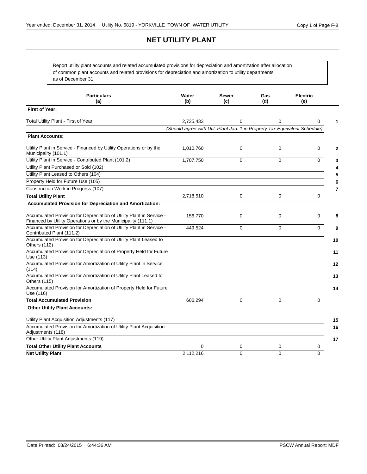# **NET UTILITY PLANT**

Report utility plant accounts and related accumulated provisions for depreciation and amortization after allocation of common plant accounts and related provisions for depreciation and amortization to utility departments as of December 31.

| <b>Particulars</b><br>(a)                                                                                                             | Water<br>(b)                                                               | Sewer<br>(c)   | Gas<br>(d)   | <b>Electric</b><br>(e) |
|---------------------------------------------------------------------------------------------------------------------------------------|----------------------------------------------------------------------------|----------------|--------------|------------------------|
| <b>First of Year:</b>                                                                                                                 |                                                                            |                |              |                        |
| Total Utility Plant - First of Year                                                                                                   | 2,735,433                                                                  | 0              | 0            | 0<br>1                 |
|                                                                                                                                       | (Should agree with Util. Plant Jan. 1 in Property Tax Equivalent Schedule) |                |              |                        |
| <b>Plant Accounts:</b>                                                                                                                |                                                                            |                |              |                        |
| Utility Plant in Service - Financed by Utility Operations or by the<br>Municipality (101.1)                                           | 1,010,760                                                                  | 0              | $\mathbf 0$  | 0<br>2                 |
| Utility Plant in Service - Contributed Plant (101.2)                                                                                  | 1,707,750                                                                  | $\Omega$       | $\Omega$     | $\Omega$<br>3          |
| Utility Plant Purchased or Sold (102)                                                                                                 |                                                                            |                |              | 4                      |
| Utility Plant Leased to Others (104)                                                                                                  |                                                                            |                |              | 5                      |
| Property Held for Future Use (105)                                                                                                    |                                                                            |                |              | 6                      |
| Construction Work in Progress (107)                                                                                                   |                                                                            |                |              | $\overline{7}$         |
| <b>Total Utility Plant</b>                                                                                                            | 2,718,510                                                                  | $\Omega$       | $\mathbf{0}$ | 0                      |
| <b>Accumulated Provision for Depreciation and Amortization:</b>                                                                       |                                                                            |                |              |                        |
| Accumulated Provision for Depreciation of Utility Plant in Service -<br>Financed by Utility Operations or by the Municipality (111.1) | 156,770                                                                    | 0              | $\mathbf 0$  | 0<br>8                 |
| Accumulated Provision for Depreciation of Utility Plant in Service -<br>Contributed Plant (111.2)                                     | 449,524                                                                    | $\Omega$       | $\Omega$     | 0<br>9                 |
| Accumulated Provision for Depreciation of Utility Plant Leased to<br>Others (112)                                                     |                                                                            |                |              | 10                     |
| Accumulated Provision for Depreciation of Property Held for Future<br>Use (113)                                                       |                                                                            |                |              | 11                     |
| Accumulated Provision for Amortization of Utility Plant in Service<br>(114)                                                           |                                                                            |                |              | 12                     |
| Accumulated Provision for Amortization of Utility Plant Leased to<br>Others (115)                                                     |                                                                            |                |              | 13                     |
| Accumulated Provision for Amortization of Property Held for Future<br>Use (116)                                                       |                                                                            |                |              | 14                     |
| <b>Total Accumulated Provision</b>                                                                                                    | 606,294                                                                    | $\Omega$       | $\Omega$     | 0                      |
| <b>Other Utility Plant Accounts:</b>                                                                                                  |                                                                            |                |              |                        |
| Utility Plant Acquisition Adjustments (117)                                                                                           |                                                                            |                |              | 15                     |
| Accumulated Provision for Amortization of Utility Plant Acquisition<br>Adjustments (118)                                              |                                                                            |                |              | 16                     |
| Other Utility Plant Adjustments (119)                                                                                                 |                                                                            |                |              | 17                     |
| <b>Total Other Utility Plant Accounts</b>                                                                                             | $\Omega$                                                                   | $\Omega$       | 0            | 0                      |
| <b>Net Utility Plant</b>                                                                                                              | 2,112,216                                                                  | $\overline{0}$ | $\Omega$     | $\Omega$               |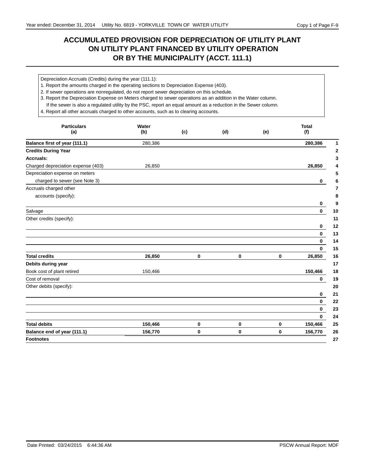# **ACCUMULATED PROVISION FOR DEPRECIATION OF UTILITY PLANT ON UTILITY PLANT FINANCED BY UTILITY OPERATION OR BY THE MUNICIPALITY (ACCT. 111.1)**

Depreciation Accruals (Credits) during the year (111.1):

1. Report the amounts charged in the operating sections to Depreciation Expense (403).

2. If sewer operations are nonregulated, do not report sewer depreciation on this schedule.

3. Report the Depreciation Expense on Meters charged to sewer operations as an addition in the Water column.

If the sewer is also a regulated utility by the PSC, report an equal amount as a reduction in the Sewer column.

4. Report all other accruals charged to other accounts, such as to clearing accounts.

| <b>Particulars</b><br>(a)          | Water<br>(b) | (c) | (d) | (e)         | <b>Total</b><br>(f) |
|------------------------------------|--------------|-----|-----|-------------|---------------------|
| Balance first of year (111.1)      | 280,386      |     |     |             | 280,386             |
| <b>Credits During Year</b>         |              |     |     |             |                     |
| Accruals:                          |              |     |     |             |                     |
| Charged depreciation expense (403) | 26,850       |     |     |             | 26,850              |
| Depreciation expense on meters     |              |     |     |             |                     |
| charged to sewer (see Note 3)      |              |     |     |             | 0                   |
| Accruals charged other             |              |     |     |             |                     |
| accounts (specify):                |              |     |     |             |                     |
|                                    |              |     |     |             | 0                   |
| Salvage                            |              |     |     |             | $\bf{0}$            |
| Other credits (specify):           |              |     |     |             |                     |
|                                    |              |     |     |             | 0                   |
|                                    |              |     |     |             | 0                   |
|                                    |              |     |     |             | $\mathbf 0$         |
|                                    |              |     |     |             | $\mathbf 0$         |
| <b>Total credits</b>               | 26,850       | 0   | 0   | $\mathbf 0$ | 26,850              |
| Debits during year                 |              |     |     |             |                     |
| Book cost of plant retired         | 150,466      |     |     |             | 150,466             |
| Cost of removal                    |              |     |     |             | 0                   |
| Other debits (specify):            |              |     |     |             |                     |
|                                    |              |     |     |             | 0                   |
|                                    |              |     |     |             | 0                   |
|                                    |              |     |     |             | 0                   |
|                                    |              |     |     |             | 0                   |
| <b>Total debits</b>                | 150,466      | 0   | 0   | 0           | 150,466             |
| Balance end of year (111.1)        | 156,770      | 0   | 0   | $\mathbf 0$ | 156,770             |
| <b>Footnotes</b>                   |              |     |     |             |                     |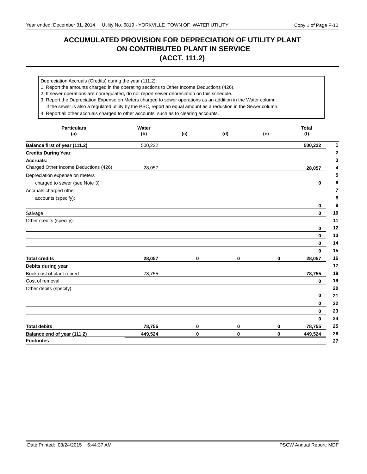# **ACCUMULATED PROVISION FOR DEPRECIATION OF UTILITY PLANT ON CONTRIBUTED PLANT IN SERVICE (ACCT. 111.2)**

Depreciation Accruals (Credits) during the year (111.2):

- 1. Report the amounts charged in the operating sections to Other Income Deductions (426).
- 2. If sewer operations are nonregulated, do not report sewer depreciation on this schedule.

3. Report the Depreciation Expense on Meters charged to sewer operations as an addition in the Water column.

If the sewer is also a regulated utility by the PSC, report an equal amount as a reduction in the Sewer column.

4. Report all other accruals charged to other accounts, such as to clearing accounts.

| <b>Particulars</b><br>(a)             | Water<br>(b) | (c) | (d) | (e)      | <b>Total</b><br>(f) |
|---------------------------------------|--------------|-----|-----|----------|---------------------|
| Balance first of year (111.2)         | 500,222      |     |     |          | 500,222             |
| <b>Credits During Year</b>            |              |     |     |          |                     |
| Accruals:                             |              |     |     |          |                     |
| Charged Other Income Deductions (426) | 28,057       |     |     |          | 28,057              |
| Depreciation expense on meters        |              |     |     |          |                     |
| charged to sewer (see Note 3)         |              |     |     |          | 0                   |
| Accruals charged other                |              |     |     |          |                     |
| accounts (specify):                   |              |     |     |          |                     |
|                                       |              |     |     |          | 0                   |
| Salvage                               |              |     |     |          | $\bf{0}$            |
| Other credits (specify):              |              |     |     |          |                     |
|                                       |              |     |     |          | 0                   |
|                                       |              |     |     |          | $\bf{0}$            |
|                                       |              |     |     |          | 0                   |
|                                       |              |     |     |          | $\bf{0}$            |
| <b>Total credits</b>                  | 28,057       | 0   | 0   | $\bf{0}$ | 28,057              |
| Debits during year                    |              |     |     |          |                     |
| Book cost of plant retired            | 78,755       |     |     |          | 78,755              |
| Cost of removal                       |              |     |     |          | $\bf{0}$            |
| Other debits (specify):               |              |     |     |          |                     |
|                                       |              |     |     |          | 0                   |
|                                       |              |     |     |          | $\bf{0}$            |
|                                       |              |     |     |          | $\bf{0}$            |
|                                       |              |     |     |          | $\bf{0}$            |
| <b>Total debits</b>                   | 78,755       | 0   | 0   | 0        | 78,755              |
| Balance end of year (111.2)           | 449,524      | 0   | 0   | $\bf{0}$ | 449,524             |
| <b>Footnotes</b>                      |              |     |     |          |                     |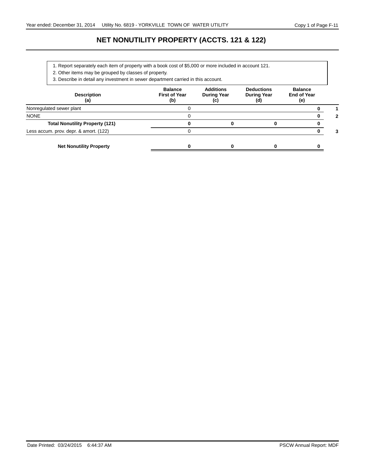# **NET NONUTILITY PROPERTY (ACCTS. 121 & 122)**

- 1. Report separately each item of property with a book cost of \$5,000 or more included in account 121.
- 2. Other items may be grouped by classes of property.
- 3. Describe in detail any investment in sewer department carried in this account.

| <b>Description</b><br>(a)              | <b>Balance</b><br><b>First of Year</b><br>(b) | <b>Additions</b><br><b>During Year</b><br>(C) | <b>Deductions</b><br><b>During Year</b><br>(d) | <b>Balance</b><br><b>End of Year</b><br>(e) |   |
|----------------------------------------|-----------------------------------------------|-----------------------------------------------|------------------------------------------------|---------------------------------------------|---|
| Nonregulated sewer plant               |                                               |                                               |                                                |                                             |   |
| <b>NONE</b>                            |                                               |                                               |                                                |                                             | 2 |
| <b>Total Nonutility Property (121)</b> |                                               |                                               |                                                |                                             |   |
| Less accum. prov. depr. & amort. (122) |                                               |                                               |                                                |                                             |   |
| <b>Net Nonutility Property</b>         |                                               |                                               |                                                |                                             |   |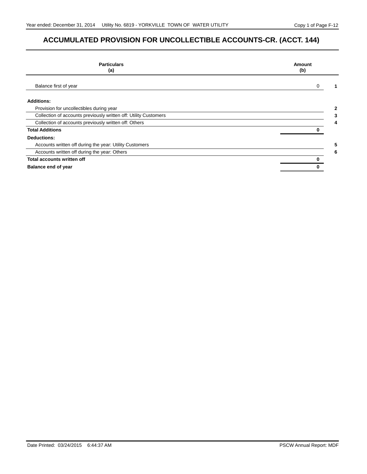# **ACCUMULATED PROVISION FOR UNCOLLECTIBLE ACCOUNTS-CR. (ACCT. 144)**

| <b>Particulars</b><br>(a)                                        | Amount<br>(b) |
|------------------------------------------------------------------|---------------|
| Balance first of year                                            | 0             |
| <b>Additions:</b>                                                |               |
| Provision for uncollectibles during year                         | 2             |
| Collection of accounts previously written off: Utility Customers | 3             |
| Collection of accounts previously written off: Others            | 4             |
| <b>Total Additions</b>                                           |               |
| <b>Deductions:</b>                                               |               |
| Accounts written off during the year: Utility Customers          | 5             |
| Accounts written off during the year: Others                     | 6             |
| <b>Total accounts written off</b>                                |               |
| Balance end of year                                              |               |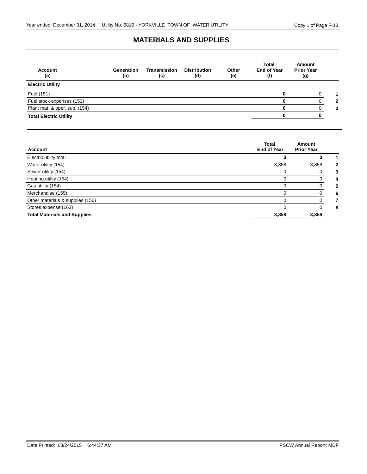#### **MATERIALS AND SUPPLIES**

| <b>Account</b><br>(a)         | Generation<br>(b) | <b>Transmission</b><br>(c) | <b>Distribution</b><br>(d) | Other<br>(e) | <b>Total</b><br><b>End of Year</b><br>(f) | <b>Amount</b><br><b>Prior Year</b><br>(g) |              |
|-------------------------------|-------------------|----------------------------|----------------------------|--------------|-------------------------------------------|-------------------------------------------|--------------|
| <b>Electric Utility</b>       |                   |                            |                            |              |                                           |                                           |              |
| Fuel (151)                    |                   |                            |                            |              |                                           |                                           |              |
| Fuel stock expenses (152)     |                   |                            |                            |              |                                           |                                           | $\mathbf{2}$ |
| Plant mat. & oper. sup. (154) |                   |                            |                            |              | 0                                         |                                           | 3            |
| <b>Total Electric Utility</b> |                   |                            |                            |              |                                           |                                           |              |

| <b>Account</b>                      | <b>Total</b><br><b>End of Year</b> | Amount<br><b>Prior Year</b> |
|-------------------------------------|------------------------------------|-----------------------------|
| Electric utility total              |                                    |                             |
| Water utility (154)                 | 3,858                              | 3,858                       |
| Sewer utility (154)                 | $\Omega$                           |                             |
| Heating utility (154)               | $\Omega$                           |                             |
| Gas utility (154)                   | $\Omega$                           |                             |
| Merchandise (155)                   | $\Omega$                           |                             |
| Other materials & supplies (156)    | $\Omega$                           |                             |
| Stores expense (163)                | $\Omega$                           |                             |
| <b>Total Materials and Supplies</b> | 3,858                              | 3,858                       |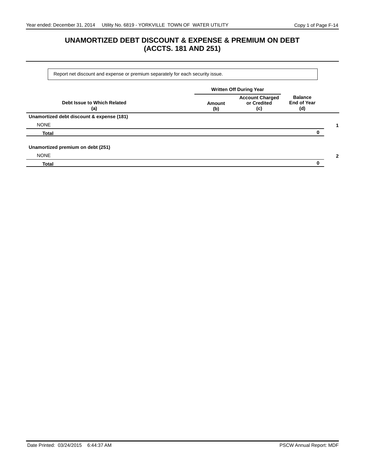# **UNAMORTIZED DEBT DISCOUNT & EXPENSE & PREMIUM ON DEBT (ACCTS. 181 AND 251)**

Report net discount and expense or premium separately for each security issue.

|                                           | <b>Written Off During Year</b> |                                              |                                             |   |
|-------------------------------------------|--------------------------------|----------------------------------------------|---------------------------------------------|---|
| Debt Issue to Which Related<br>(a)        | Amount<br>(b)                  | <b>Account Charged</b><br>or Credited<br>(c) | <b>Balance</b><br><b>End of Year</b><br>(d) |   |
| Unamortized debt discount & expense (181) |                                |                                              |                                             |   |
| <b>NONE</b>                               |                                |                                              |                                             |   |
| <b>Total</b>                              |                                |                                              |                                             |   |
| Unamortized premium on debt (251)         |                                |                                              |                                             |   |
| <b>NONE</b>                               |                                |                                              |                                             | 2 |
| <b>Total</b>                              |                                |                                              |                                             |   |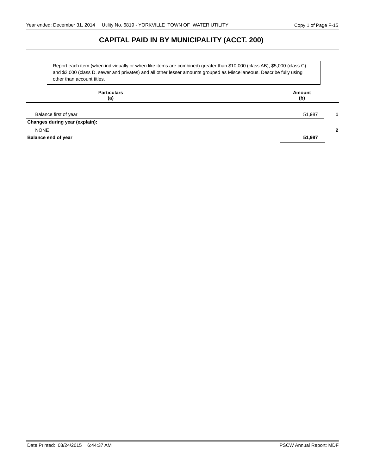# **CAPITAL PAID IN BY MUNICIPALITY (ACCT. 200)**

Report each item (when individually or when like items are combined) greater than \$10,000 (class AB), \$5,000 (class C) and \$2,000 (class D, sewer and privates) and all other lesser amounts grouped as Miscellaneous. Describe fully using other than account titles.

| <b>Particulars</b><br>(a)      | Amount<br>(b) |  |  |  |
|--------------------------------|---------------|--|--|--|
| Balance first of year          | 51,987        |  |  |  |
| Changes during year (explain): |               |  |  |  |
| <b>NONE</b>                    |               |  |  |  |
| Balance end of year            | 51,987        |  |  |  |
|                                |               |  |  |  |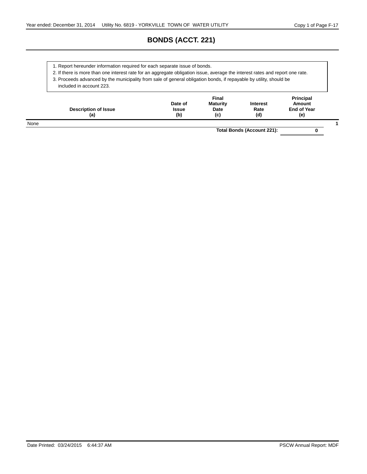# **BONDS (ACCT. 221)**

1. Report hereunder information required for each separate issue of bonds.

2. If there is more than one interest rate for an aggregate obligation issue, average the interest rates and report one rate.

3. Proceeds advanced by the municipality from sale of general obligation bonds, if repayable by utility, should be

included in account 223.

|      | <b>Description of Issue</b><br>(a) | Date of<br><b>Issue</b><br>(b) | <b>Final</b><br><b>Maturity</b><br>Date<br>(c) | <b>Interest</b><br>Rate<br>(d) | <b>Principal</b><br>Amount<br><b>End of Year</b><br>(e) |  |
|------|------------------------------------|--------------------------------|------------------------------------------------|--------------------------------|---------------------------------------------------------|--|
| None |                                    |                                |                                                |                                |                                                         |  |

**Total Bonds (Account 221): 0**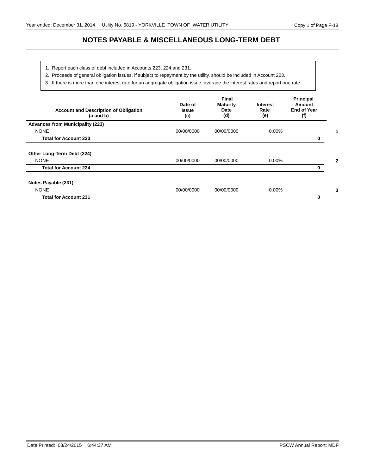# **NOTES PAYABLE & MISCELLANEOUS LONG-TERM DEBT**

- 1. Report each class of debt included in Accounts 223, 224 and 231.
- 2. Proceeds of general obligation issues, if subject to repayment by the utility, should be included in Account 223.
- 3. If there is more than one interest rate for an aggregate obligation issue, average the interest rates and report one rate.

| <b>Account and Description of Obligation</b><br>$(a \text{ and } b)$ | Date of<br>Issue<br>(c) | Final<br><b>Maturity</b><br>Date<br>(d) | <b>Interest</b><br>Rate<br>(e) | <b>Principal</b><br>Amount<br><b>End of Year</b><br>(f) |
|----------------------------------------------------------------------|-------------------------|-----------------------------------------|--------------------------------|---------------------------------------------------------|
| <b>Advances from Municipality (223)</b>                              |                         |                                         |                                |                                                         |
| <b>NONE</b>                                                          | 00/00/0000              | 00/00/0000                              | $0.00\%$                       |                                                         |
| <b>Total for Account 223</b>                                         |                         |                                         |                                |                                                         |
| Other Long-Term Debt (224)                                           |                         |                                         |                                |                                                         |
| <b>NONE</b>                                                          | 00/00/0000              | 00/00/0000                              | $0.00\%$                       |                                                         |
| <b>Total for Account 224</b>                                         |                         |                                         |                                |                                                         |
| Notes Payable (231)                                                  |                         |                                         |                                |                                                         |
| <b>NONE</b>                                                          | 00/00/0000              | 00/00/0000                              | $0.00\%$                       |                                                         |
| <b>Total for Account 231</b>                                         |                         |                                         |                                | 0                                                       |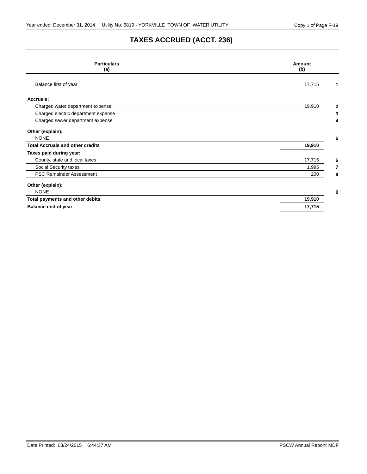# **TAXES ACCRUED (ACCT. 236)**

| <b>Particulars</b><br>(a)               | Amount<br>(b) |  |  |
|-----------------------------------------|---------------|--|--|
| Balance first of year                   | 17,715        |  |  |
| Accruals:                               |               |  |  |
| Charged water department expense        | 19,910<br>2   |  |  |
| Charged electric department expense     | 3             |  |  |
| Charged sewer department expense        | 4             |  |  |
| Other (explain):                        |               |  |  |
| <b>NONE</b>                             | 5             |  |  |
| <b>Total Accruals and other credits</b> | 19,910        |  |  |
| Taxes paid during year:                 |               |  |  |
| County, state and local taxes           | 17,715<br>6   |  |  |
| Social Security taxes                   | 1,995<br>7    |  |  |
| <b>PSC Remainder Assessment</b>         | 200<br>8      |  |  |
| Other (explain):                        |               |  |  |
| <b>NONE</b>                             | 9             |  |  |
| Total payments and other debits         | 19,910        |  |  |
| <b>Balance end of year</b>              | 17,715        |  |  |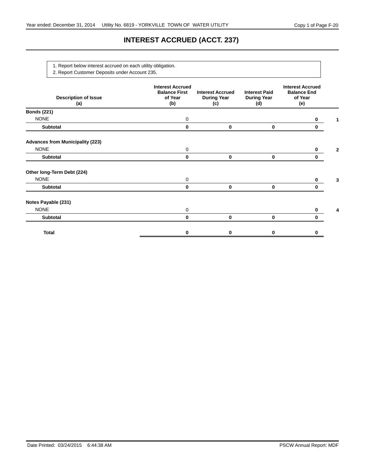# **INTEREST ACCRUED (ACCT. 237)**

1. Report below interest accrued on each utility obligation.

2. Report Customer Deposits under Account 235.

| <b>Description of Issue</b><br>(a)      | <b>Interest Accrued</b><br><b>Balance First</b><br>of Year<br>(b) | <b>Interest Accrued</b><br><b>During Year</b><br>(c) | <b>Interest Paid</b><br><b>During Year</b><br>(d) | <b>Interest Accrued</b><br><b>Balance End</b><br>of Year<br>(e) |  |
|-----------------------------------------|-------------------------------------------------------------------|------------------------------------------------------|---------------------------------------------------|-----------------------------------------------------------------|--|
| <b>Bonds (221)</b>                      |                                                                   |                                                      |                                                   |                                                                 |  |
| <b>NONE</b>                             | 0                                                                 |                                                      |                                                   | 0                                                               |  |
| Subtotal                                | 0                                                                 | 0                                                    | 0                                                 | 0                                                               |  |
| <b>Advances from Municipality (223)</b> |                                                                   |                                                      |                                                   |                                                                 |  |
| <b>NONE</b>                             | 0                                                                 |                                                      |                                                   | 0                                                               |  |
| Subtotal                                | $\bf{0}$                                                          | $\bf{0}$                                             | 0                                                 | 0                                                               |  |
| Other long-Term Debt (224)              |                                                                   |                                                      |                                                   |                                                                 |  |
| <b>NONE</b>                             | 0                                                                 |                                                      |                                                   | $\bf{0}$                                                        |  |
| Subtotal                                | 0                                                                 | 0                                                    | 0                                                 | 0                                                               |  |
| Notes Payable (231)                     |                                                                   |                                                      |                                                   |                                                                 |  |
| <b>NONE</b>                             | 0                                                                 |                                                      |                                                   | 0                                                               |  |
| Subtotal                                | 0                                                                 | $\bf{0}$                                             | 0                                                 | 0                                                               |  |
| Total                                   | 0                                                                 | 0                                                    | 0                                                 | 0                                                               |  |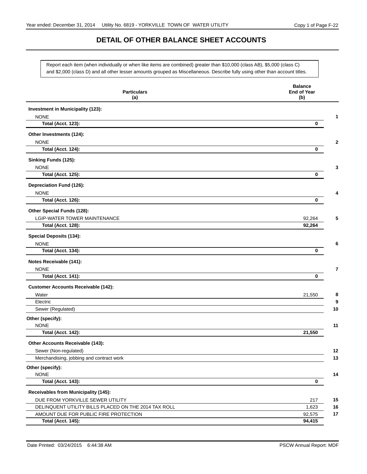#### **DETAIL OF OTHER BALANCE SHEET ACCOUNTS**

Report each item (when individually or when like items are combined) greater than \$10,000 (class AB), \$5,000 (class C) and \$2,000 (class D) and all other lesser amounts grouped as Miscellaneous. Describe fully using other than account titles.

| <b>Particulars</b><br>(a)                            | <b>Balance</b><br><b>End of Year</b><br>(b) |
|------------------------------------------------------|---------------------------------------------|
| Investment in Municipality (123):                    |                                             |
| <b>NONE</b>                                          | 1                                           |
| <b>Total (Acct. 123):</b>                            | 0                                           |
| Other Investments (124):                             |                                             |
| <b>NONE</b>                                          | $\mathbf{2}$                                |
| <b>Total (Acct. 124):</b>                            | 0                                           |
| Sinking Funds (125):                                 |                                             |
| <b>NONE</b>                                          | 3                                           |
| <b>Total (Acct. 125):</b>                            | 0                                           |
| Depreciation Fund (126):                             |                                             |
| <b>NONE</b>                                          |                                             |
| <b>Total (Acct. 126):</b>                            | 0                                           |
| Other Special Funds (128):                           |                                             |
| LGIP-WATER TOWER MAINTENANCE                         | 92,264<br>5                                 |
| <b>Total (Acct. 128):</b>                            | 92,264                                      |
| <b>Special Deposits (134):</b>                       |                                             |
| <b>NONE</b>                                          | 6                                           |
| <b>Total (Acct. 134):</b>                            | 0                                           |
| Notes Receivable (141):                              |                                             |
| <b>NONE</b>                                          | 7                                           |
| <b>Total (Acct. 141):</b>                            | 0                                           |
| <b>Customer Accounts Receivable (142):</b>           |                                             |
| Water                                                | 8<br>21,550                                 |
| Electric                                             | 9                                           |
| Sewer (Regulated)                                    | 10                                          |
| Other (specify):                                     |                                             |
| <b>NONE</b><br><b>Total (Acct. 142):</b>             | 11<br>21,550                                |
|                                                      |                                             |
| Other Accounts Receivable (143):                     |                                             |
| Sewer (Non-regulated)                                | 12                                          |
| Merchandising, jobbing and contract work             | 13                                          |
| Other (specify):<br><b>NONE</b>                      | 14                                          |
| <b>Total (Acct. 143):</b>                            | $\mathbf 0$                                 |
| Receivables from Municipality (145):                 |                                             |
| DUE FROM YORKVILLE SEWER UTILITY                     | 15<br>217                                   |
| DELINQUENT UTILITY BILLS PLACED ON THE 2014 TAX ROLL | 1,623<br>16                                 |
| AMOUNT DUE FOR PUBLIC FIRE PROTECTION                | 92,575<br>17                                |
| <b>Total (Acct. 145):</b>                            | 94,415                                      |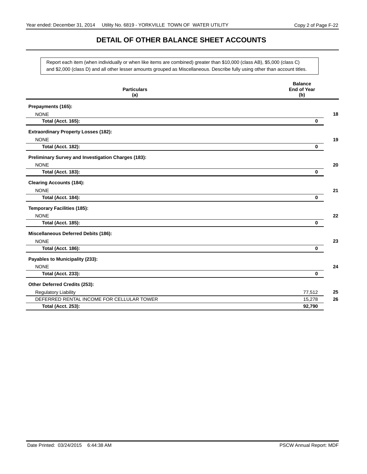# **DETAIL OF OTHER BALANCE SHEET ACCOUNTS**

Report each item (when individually or when like items are combined) greater than \$10,000 (class AB), \$5,000 (class C) and \$2,000 (class D) and all other lesser amounts grouped as Miscellaneous. Describe fully using other than account titles.

| <b>Particulars</b>                                  | <b>Balance</b><br><b>End of Year</b> |
|-----------------------------------------------------|--------------------------------------|
| (a)                                                 | (b)                                  |
| Prepayments (165):                                  |                                      |
| <b>NONE</b>                                         | 18                                   |
| <b>Total (Acct. 165):</b>                           | $\mathbf 0$                          |
| <b>Extraordinary Property Losses (182):</b>         |                                      |
| <b>NONE</b>                                         | 19                                   |
| <b>Total (Acct. 182):</b>                           | $\bf{0}$                             |
| Preliminary Survey and Investigation Charges (183): |                                      |
| <b>NONE</b>                                         | 20                                   |
| <b>Total (Acct. 183):</b>                           | 0                                    |
| <b>Clearing Accounts (184):</b>                     |                                      |
| <b>NONE</b>                                         | 21                                   |
| <b>Total (Acct. 184):</b>                           | $\mathbf 0$                          |
| <b>Temporary Facilities (185):</b>                  |                                      |
| <b>NONE</b>                                         | 22                                   |
| <b>Total (Acct. 185):</b>                           | $\mathbf 0$                          |
| Miscellaneous Deferred Debits (186):                |                                      |
| <b>NONE</b>                                         | 23                                   |
| <b>Total (Acct. 186):</b>                           | 0                                    |
| Payables to Municipality (233):                     |                                      |
| <b>NONE</b>                                         | 24                                   |
| <b>Total (Acct. 233):</b>                           | $\bf{0}$                             |
| Other Deferred Credits (253):                       |                                      |
| <b>Regulatory Liability</b>                         | 25<br>77,512                         |
| DEFERRED RENTAL INCOME FOR CELLULAR TOWER           | 26<br>15,278                         |
| <b>Total (Acct. 253):</b>                           | 92,790                               |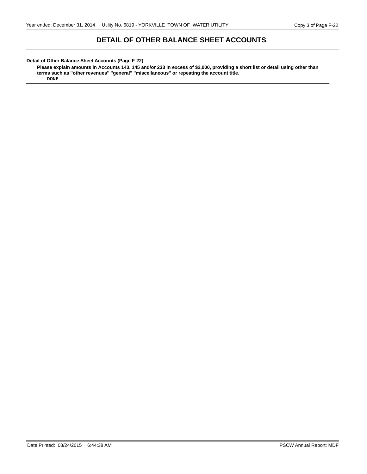#### **DETAIL OF OTHER BALANCE SHEET ACCOUNTS**

#### **Detail of Other Balance Sheet Accounts (Page F-22)**

**Please explain amounts in Accounts 143, 145 and/or 233 in excess of \$2,000, providing a short list or detail using other than terms such as ''other revenues'' ''general'' ''miscellaneous'' or repeating the account title. DONE**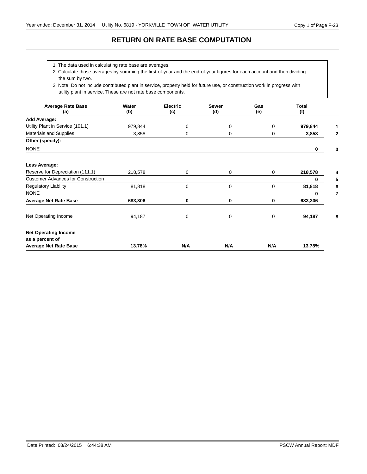#### **RETURN ON RATE BASE COMPUTATION**

1. The data used in calculating rate base are averages.

2. Calculate those averages by summing the first-of-year and the end-of-year figures for each account and then dividing the sum by two.

3. Note: Do not include contributed plant in service, property held for future use, or construction work in progress with utility plant in service. These are not rate base components.

| <b>Average Rate Base</b><br>(a)           | Water<br><b>Sewer</b><br><b>Electric</b><br>(b)<br>(d)<br>(c) |     |     | Gas<br>(e) | <b>Total</b><br>(f) |   |
|-------------------------------------------|---------------------------------------------------------------|-----|-----|------------|---------------------|---|
| <b>Add Average:</b>                       |                                                               |     |     |            |                     |   |
| Utility Plant in Service (101.1)          | 979,844                                                       | 0   | 0   | 0          | 979,844             |   |
| <b>Materials and Supplies</b>             | 3,858                                                         | 0   | 0   | 0          | 3,858               |   |
| Other (specify):                          |                                                               |     |     |            |                     |   |
| <b>NONE</b>                               |                                                               |     |     |            | 0                   |   |
| Less Average:                             |                                                               |     |     |            |                     |   |
| Reserve for Depreciation (111.1)          | 218,578                                                       | 0   | 0   | 0          | 218,578             |   |
| <b>Customer Advances for Construction</b> |                                                               |     |     |            | 0                   |   |
| <b>Regulatory Liability</b>               | 81,818                                                        | 0   | 0   | 0          | 81,818              |   |
| <b>NONE</b>                               |                                                               |     |     |            | 0                   |   |
| <b>Average Net Rate Base</b>              | 683,306                                                       | 0   | 0   | 0          | 683,306             |   |
| Net Operating Income                      | 94,187                                                        | 0   | 0   | 0          | 94,187              | 8 |
| <b>Net Operating Income</b>               |                                                               |     |     |            |                     |   |
| as a percent of                           |                                                               |     |     |            |                     |   |
| <b>Average Net Rate Base</b>              | 13.78%                                                        | N/A | N/A | N/A        | 13.78%              |   |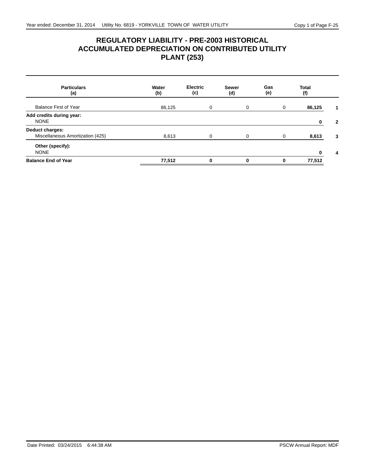# **REGULATORY LIABILITY - PRE-2003 HISTORICAL ACCUMULATED DEPRECIATION ON CONTRIBUTED UTILITY PLANT (253)**

| <b>Particulars</b><br>(a)                           | Water<br>(b) | <b>Electric</b><br>(c) | <b>Sewer</b><br>(d) | Gas<br>(e) | <b>Total</b><br>(f) |
|-----------------------------------------------------|--------------|------------------------|---------------------|------------|---------------------|
| <b>Balance First of Year</b>                        | 86,125       | 0                      | 0                   | 0          | 86,125              |
| Add credits during year:<br><b>NONE</b>             |              |                        |                     |            | 0<br>$\mathbf{2}$   |
| Deduct charges:<br>Miscellaneous Amortization (425) | 8,613        | 0                      | 0                   | 0          | 8,613<br>3          |
| Other (specify):<br><b>NONE</b>                     |              |                        |                     |            | 0<br>4              |
| <b>Balance End of Year</b>                          | 77,512       | 0                      | 0                   | 0          | 77,512              |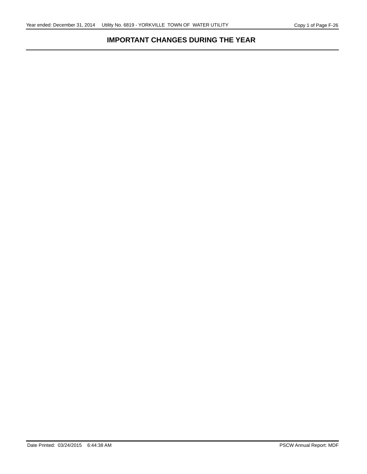# **IMPORTANT CHANGES DURING THE YEAR**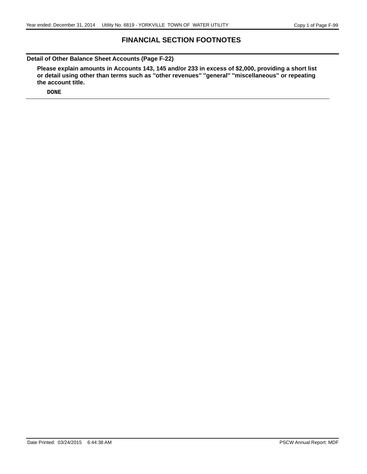#### **FINANCIAL SECTION FOOTNOTES**

**Detail of Other Balance Sheet Accounts (Page F-22)**

**Please explain amounts in Accounts 143, 145 and/or 233 in excess of \$2,000, providing a short list or detail using other than terms such as ''other revenues'' ''general'' ''miscellaneous'' or repeating the account title.**

**DONE**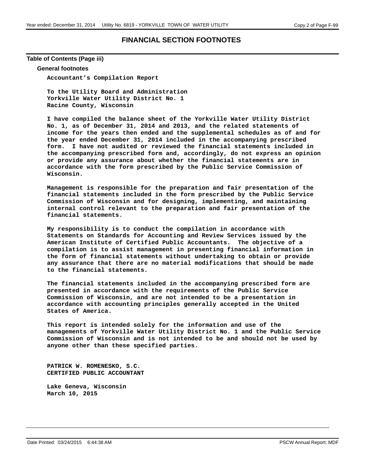#### **FINANCIAL SECTION FOOTNOTES**

**Table of Contents (Page iii)**

#### **General footnotes**

**Accountant's Compilation Report**

**To the Utility Board and Administration Yorkville Water Utility District No. 1 Racine County, Wisconsin**

**I have compiled the balance sheet of the Yorkville Water Utility District No. 1, as of December 31, 2014 and 2013, and the related statements of income for the years then ended and the supplemental schedules as of and for the year ended December 31, 2014 included in the accompanying prescribed form. I have not audited or reviewed the financial statements included in the accompanying prescribed form and, accordingly, do not express an opinion or provide any assurance about whether the financial statements are in accordance with the form prescribed by the Public Service Commission of Wisconsin.**

**Management is responsible for the preparation and fair presentation of the financial statements included in the form prescribed by the Public Service Commission of Wisconsin and for designing, implementing, and maintaining internal control relevant to the preparation and fair presentation of the financial statements.**

**My responsibility is to conduct the compilation in accordance with Statements on Standards for Accounting and Review Services issued by the American Institute of Certified Public Accountants. The objective of a compilation is to assist management in presenting financial information in the form of financial statements without undertaking to obtain or provide any assurance that there are no material modifications that should be made to the financial statements.**

**The financial statements included in the accompanying prescribed form are presented in accordance with the requirements of the Public Service Commission of Wisconsin, and are not intended to be a presentation in accordance with accounting principles generally accepted in the United States of America.**

**This report is intended solely for the information and use of the managements of Yorkville Water Utility District No. 1 and the Public Service Commission of Wisconsin and is not intended to be and should not be used by anyone other than these specified parties.**

**PATRICK W. ROMENESKO, S.C. CERTIFIED PUBLIC ACCOUNTANT**

**Lake Geneva, Wisconsin March 10, 2015**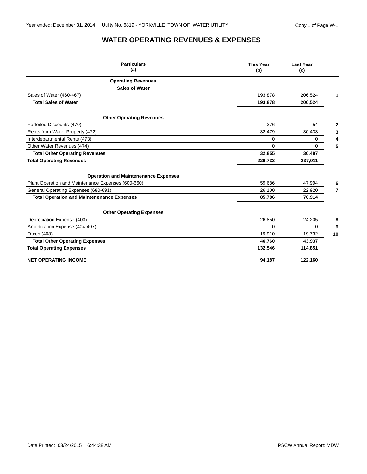# **WATER OPERATING REVENUES & EXPENSES**

| <b>Particulars</b><br>(a)                          | <b>This Year</b><br>(b) | <b>Last Year</b><br>(c) |    |
|----------------------------------------------------|-------------------------|-------------------------|----|
| <b>Operating Revenues</b>                          |                         |                         |    |
| <b>Sales of Water</b>                              |                         |                         |    |
| Sales of Water (460-467)                           | 193,878                 | 206,524                 |    |
| <b>Total Sales of Water</b>                        | 193,878                 | 206,524                 |    |
| <b>Other Operating Revenues</b>                    |                         |                         |    |
| Forfeited Discounts (470)                          | 376                     | 54                      |    |
| Rents from Water Property (472)                    | 32,479                  | 30,433                  | 3  |
| Interdepartmental Rents (473)                      | 0                       | $\mathbf 0$             |    |
| Other Water Revenues (474)                         | $\Omega$                | $\Omega$                | 5  |
| <b>Total Other Operating Revenues</b>              | 32,855                  | 30,487                  |    |
| <b>Total Operating Revenues</b>                    | 226,733                 | 237,011                 |    |
| <b>Operation and Maintenenance Expenses</b>        |                         |                         |    |
| Plant Operation and Maintenance Expenses (600-660) | 59,686                  | 47,994                  |    |
| General Operating Expenses (680-691)               | 26,100                  | 22,920                  | 7  |
| <b>Total Operation and Maintenenance Expenses</b>  | 85,786                  | 70,914                  |    |
| <b>Other Operating Expenses</b>                    |                         |                         |    |
| Depreciation Expense (403)                         | 26,850                  | 24,205                  | 8  |
| Amortization Expense (404-407)                     | $\Omega$                | $\mathbf 0$             | 9  |
| Taxes (408)                                        | 19,910                  | 19,732                  | 10 |
| <b>Total Other Operating Expenses</b>              | 46,760                  | 43,937                  |    |
| <b>Total Operating Expenses</b>                    | 132,546                 | 114,851                 |    |
| <b>NET OPERATING INCOME</b>                        | 94.187                  | 122,160                 |    |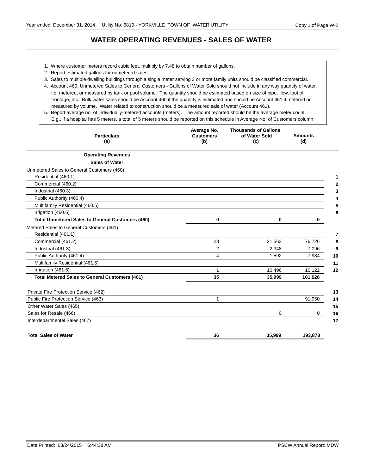# **WATER OPERATING REVENUES - SALES OF WATER**

- 1. Where customer meters record cubic feet, multiply by 7.48 to obtain number of gallons.
- 2. Report estimated gallons for unmetered sales.
- 3. Sales to multiple dwelling buildings through a single meter serving 3 or more family units should be classified commercial.
- 4. Account 460, Unmetered Sales to General Customers Gallons of Water Sold should not include in any way quantity of water, frontage, etc. Bulk water sales should be Account 460 if the quantity is estimated and should be Account 461 if metered or i.e. metered, or measured by tank or pool volume. The quantity should be estimated based on size of pipe, flow, foot of measured by volume. Water related to construction should be a measured sale of water (Account 461).
- 5. Report average no. of individually-metered accounts (meters). The amount reported should be the average meter count. E.g., if a hospital has 5 meters, a total of 5 meters should be reported on this schedule in Average No. of Customers column.

| <b>Particulars</b><br>(a)                               | Average No.<br><b>Customers</b><br>(b) | <b>Thousands of Gallons</b><br>of Water Sold<br>(c) | <b>Amounts</b><br>(d) |
|---------------------------------------------------------|----------------------------------------|-----------------------------------------------------|-----------------------|
| <b>Operating Revenues</b>                               |                                        |                                                     |                       |
| <b>Sales of Water</b>                                   |                                        |                                                     |                       |
| Unmetered Sales to General Customers (460)              |                                        |                                                     |                       |
| Residential (460.1)                                     |                                        |                                                     |                       |
| Commercial (460.2)                                      |                                        |                                                     |                       |
| Industrial (460.3)                                      |                                        |                                                     |                       |
| Public Authority (460.4)                                |                                        |                                                     |                       |
| Multifamily Residential (460.5)                         |                                        |                                                     |                       |
| Irrigation (460.6)                                      |                                        |                                                     |                       |
| <b>Total Unmetered Sales to General Customers (460)</b> | $\mathbf{0}$                           | $\bf{0}$                                            | 0                     |
| Metered Sales to General Customers (461)                |                                        |                                                     |                       |
| Residential (461.1)                                     |                                        |                                                     |                       |
| Commercial (461.2)                                      | 28                                     | 21,563                                              | 76,726                |
| Industrial (461.3)                                      | 2                                      | 2,348                                               | 7,096                 |
| Public Authority (461.4)                                | 4                                      | 1,592                                               | 7,984                 |
| Multifamily Residential (461.5)                         |                                        |                                                     |                       |
| Irrigation (461.6)                                      | 1                                      | 10,496                                              | 10,122                |
| <b>Total Metered Sales to General Customers (461)</b>   | 35                                     | 35,999                                              | 101,928               |
| Private Fire Protection Service (462)                   |                                        |                                                     |                       |
| Public Fire Protection Service (463)                    | 1                                      |                                                     | 91,950                |
| Other Water Sales (465)                                 |                                        |                                                     |                       |
| Sales for Resale (466)                                  |                                        | $\Omega$                                            | $\Omega$              |
| Interdepartmental Sales (467)                           |                                        |                                                     |                       |
| <b>Total Sales of Water</b>                             | 36                                     | 35,999                                              | 193,878               |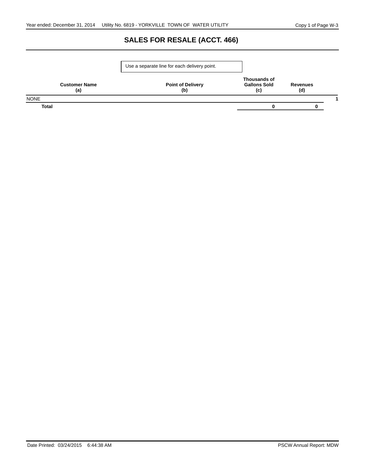# **SALES FOR RESALE (ACCT. 466)**

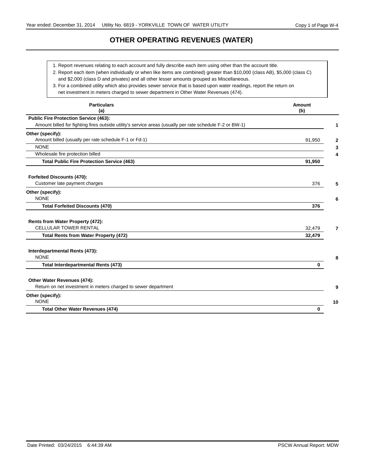# **OTHER OPERATING REVENUES (WATER)**

1. Report revenues relating to each account and fully describe each item using other than the account title.

2. Report each item (when individually or when like items are combined) greater than \$10,000 (class AB), \$5,000 (class C)

and \$2,000 (class D and privates) and all other lesser amounts grouped as Miscellaneous.

3. For a combined utility which also provides sewer service that is based upon water readings, report the return on

net investment in meters charged to sewer department in Other Water Revenues (474).

| <b>Particulars</b><br>(a)                                                                                | <b>Amount</b><br>(b) |
|----------------------------------------------------------------------------------------------------------|----------------------|
| <b>Public Fire Protection Service (463):</b>                                                             |                      |
| Amount billed for fighting fires outside utility's service areas (usually per rate schedule F-2 or BW-1) |                      |
| Other (specify):                                                                                         |                      |
| Amount billed (usually per rate schedule F-1 or Fd-1)                                                    | 91,950               |
| <b>NONE</b>                                                                                              |                      |
| Wholesale fire protection billed                                                                         |                      |
| <b>Total Public Fire Protection Service (463)</b>                                                        | 91,950               |
| <b>Forfeited Discounts (470):</b>                                                                        |                      |
| Customer late payment charges                                                                            | 376                  |
| Other (specify):                                                                                         |                      |
| <b>NONE</b>                                                                                              |                      |
| <b>Total Forfeited Discounts (470)</b>                                                                   | 376                  |
| Rents from Water Property (472):                                                                         |                      |
| <b>CELLULAR TOWER RENTAL</b>                                                                             | 32,479               |
| <b>Total Rents from Water Property (472)</b>                                                             | 32,479               |
| Interdepartmental Rents (473):                                                                           |                      |
| <b>NONE</b>                                                                                              |                      |
| <b>Total Interdepartmental Rents (473)</b>                                                               | $\bf{0}$             |
| Other Water Revenues (474):                                                                              |                      |
| Return on net investment in meters charged to sewer department                                           |                      |
| Other (specify):                                                                                         |                      |
| <b>NONE</b>                                                                                              | 10                   |
| <b>Total Other Water Revenues (474)</b>                                                                  | 0                    |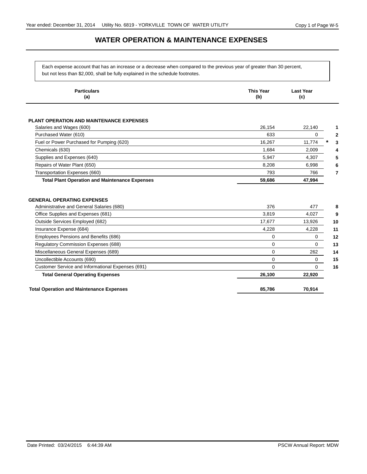### **WATER OPERATION & MAINTENANCE EXPENSES**

Each expense account that has an increase or a decrease when compared to the previous year of greater than 30 percent, but not less than \$2,000, shall be fully explained in the schedule footnotes.

| <b>Particulars</b><br>(a)                                                      | <b>This Year</b><br>(b) | <b>Last Year</b><br>(c) |
|--------------------------------------------------------------------------------|-------------------------|-------------------------|
| <b>PLANT OPERATION AND MAINTENANCE EXPENSES</b>                                |                         |                         |
| Salaries and Wages (600)                                                       | 26,154                  | 22,140                  |
| Purchased Water (610)                                                          | 633                     | $\Omega$                |
| Fuel or Power Purchased for Pumping (620)                                      | 16,267                  | 11,774                  |
| Chemicals (630)                                                                | 1,684                   | 2,009                   |
| Supplies and Expenses (640)                                                    | 5.947                   | 4,307                   |
| Repairs of Water Plant (650)                                                   | 8,208                   | 6,998                   |
| Transportation Expenses (660)                                                  | 793                     | 766                     |
| <b>Total Plant Operation and Maintenance Expenses</b>                          | 59,686                  | 47,994                  |
| <b>GENERAL OPERATING EXPENSES</b><br>Administrative and General Salaries (680) | 376                     | 477                     |
|                                                                                |                         |                         |
| Office Supplies and Expenses (681)                                             | 3.819                   | 4,027                   |
| Outside Services Employed (682)                                                | 17,677<br>4,228         | 13,926                  |
| Insurance Expense (684)<br>Employees Pensions and Benefits (686)               | 0                       | 4,228<br>0              |
| <b>Regulatory Commission Expenses (688)</b>                                    | 0                       | 0                       |
| Miscellaneous General Expenses (689)                                           | $\Omega$                | 262                     |
| Uncollectible Accounts (690)                                                   | $\Omega$                | 0                       |
| Customer Service and Informational Expenses (691)                              | $\Omega$                | 0                       |
| <b>Total General Operating Expenses</b>                                        | 26,100                  | 22,920                  |
|                                                                                |                         |                         |
|                                                                                |                         |                         |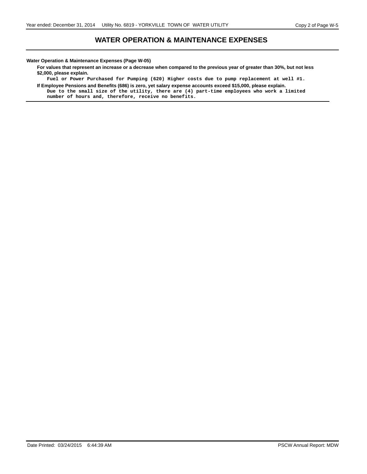#### **WATER OPERATION & MAINTENANCE EXPENSES**

**Water Operation & Maintenance Expenses (Page W-05)**

**For values that represent an increase or a decrease when compared to the previous year of greater than 30%, but not less \$2,000, please explain.**

**Fuel or Power Purchased for Pumping (620) Higher costs due to pump replacement at well #1. If Employee Pensions and Benefits (686) is zero, yet salary expense accounts exceed \$15,000, please explain.**

**Due to the small size of the utility, there are (4) part-time employees who work a limited number of hours and, therefore, receive no benefits.**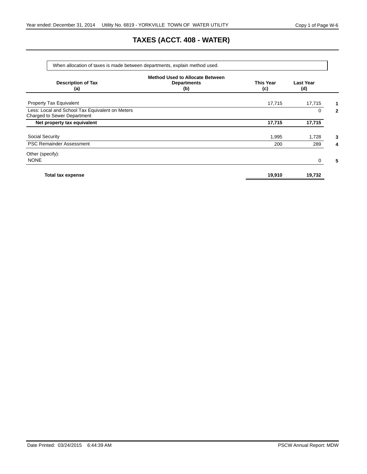# **TAXES (ACCT. 408 - WATER)**

|                                                                                | When allocation of taxes is made between departments, explain method used. |                         |                         |              |
|--------------------------------------------------------------------------------|----------------------------------------------------------------------------|-------------------------|-------------------------|--------------|
| <b>Description of Tax</b><br>(a)                                               | <b>Method Used to Allocate Between</b><br><b>Departments</b><br>(b)        | <b>This Year</b><br>(c) | <b>Last Year</b><br>(d) |              |
| <b>Property Tax Equivalent</b>                                                 |                                                                            | 17,715                  | 17,715                  | 1            |
| Less: Local and School Tax Equivalent on Meters<br>Charged to Sewer Department |                                                                            |                         | 0                       | $\mathbf{2}$ |
| Net property tax equivalent                                                    |                                                                            | 17,715                  | 17,715                  |              |
| <b>Social Security</b>                                                         |                                                                            | 1,995                   | 1,728                   | 3            |
| <b>PSC Remainder Assessment</b>                                                |                                                                            | 200                     | 289                     | 4            |
| Other (specify):<br><b>NONE</b>                                                |                                                                            |                         | 0                       | 5            |
| <b>Total tax expense</b>                                                       |                                                                            | 19,910                  | 19,732                  |              |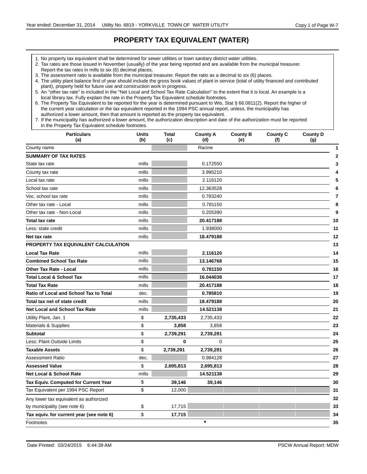# **PROPERTY TAX EQUIVALENT (WATER)**

- 1. No property tax equivalent shall be determined for sewer utilities or town sanitary district water utilities.
- 2. Tax rates are those issued in November (usually) of the year being reported and are available from the municipal treasurer. Report the tax rates in mills to six (6) decimal places.
- 3. The assessment ratio is available from the municipal treasurer. Report the ratio as a decimal to six (6) places.

<sup>7.</sup> If the municipality has authorized a lower amount, the authorization description and date of the authorization must be reported in the Property Tax Equivalent schedule footnotes.

| <b>Particulars</b><br>(a)                | <b>Units</b><br>(b) | <b>Total</b><br>(c) | <b>County A</b><br>(d) | <b>County B</b><br>(e) | <b>County C</b><br>(f) | <b>County D</b><br>(g) |
|------------------------------------------|---------------------|---------------------|------------------------|------------------------|------------------------|------------------------|
| County name                              |                     |                     | Racine                 |                        |                        | 1                      |
| <b>SUMMARY OF TAX RATES</b>              |                     |                     |                        |                        |                        | $\mathbf{2}$           |
| State tax rate                           | mills               |                     | 0.172550               |                        |                        | 3                      |
| County tax rate                          | mills               |                     | 3.995210               |                        |                        | 4                      |
| Local tax rate                           | mills               |                     | 2.116120               |                        |                        | 5                      |
| School tax rate                          | mills               |                     | 12.363528              |                        |                        | 6                      |
| Voc. school tax rate                     | mills               |                     | 0.783240               |                        |                        | 7                      |
| Other tax rate - Local                   | mills               |                     | 0.781150               |                        |                        | 8                      |
| Other tax rate - Non-Local               | mills               |                     | 0.205390               |                        |                        | 9                      |
| <b>Total tax rate</b>                    | mills               |                     | 20.417188              |                        |                        | 10                     |
| Less: state credit                       | mills               |                     | 1.938000               |                        |                        | 11                     |
| Net tax rate                             | mills               |                     | 18.479188              |                        |                        | 12                     |
| PROPERTY TAX EQUIVALENT CALCULATION      |                     |                     |                        |                        |                        | 13                     |
| <b>Local Tax Rate</b>                    | mills               |                     | 2.116120               |                        |                        | 14                     |
| <b>Combined School Tax Rate</b>          | mills               |                     | 13.146768              |                        |                        | 15                     |
| <b>Other Tax Rate - Local</b>            | mills               |                     | 0.781150               |                        |                        | 16                     |
| <b>Total Local &amp; School Tax</b>      | mills               |                     | 16.044038              |                        |                        | 17                     |
| <b>Total Tax Rate</b>                    | mills               |                     | 20.417188              |                        |                        | 18                     |
| Ratio of Local and School Tax to Total   | dec.                |                     | 0.785810               |                        |                        | 19                     |
| Total tax net of state credit            | mills               |                     | 18.479188              |                        |                        | 20                     |
| <b>Net Local and School Tax Rate</b>     | mills               |                     | 14.521138              |                        |                        | 21                     |
| Utility Plant, Jan. 1                    | \$                  | 2,735,433           | 2,735,433              |                        |                        | 22                     |
| Materials & Supplies                     | \$                  | 3,858               | 3,858                  |                        |                        | 23                     |
| <b>Subtotal</b>                          | \$                  | 2,739,291           | 2,739,291              |                        |                        | 24                     |
| Less: Plant Outside Limits               | \$                  | 0                   | $\Omega$               |                        |                        | 25                     |
| <b>Taxable Assets</b>                    | \$                  | 2,739,291           | 2,739,291              |                        |                        | 26                     |
| <b>Assessment Ratio</b>                  | dec.                |                     | 0.984128               |                        |                        | 27                     |
| <b>Assessed Value</b>                    | \$                  | 2,695,813           | 2,695,813              |                        |                        | 28                     |
| <b>Net Local &amp; School Rate</b>       | mills               |                     | 14.521138              |                        |                        | 29                     |
| Tax Equiv. Computed for Current Year     | \$                  | 39,146              | 39,146                 |                        |                        | 30                     |
| Tax Equivalent per 1994 PSC Report       | \$                  | 12,000              |                        |                        |                        | 31                     |
| Any lower tax equivalent as authorized   |                     |                     |                        |                        |                        | 32                     |
| by municipality (see note 6)             | \$                  | 17,715              |                        |                        |                        | 33                     |
| Tax equiv. for current year (see note 6) | \$                  | 17,715              |                        |                        |                        | 34                     |
| Footnotes                                |                     |                     | $\star$                |                        |                        | 35                     |

<sup>4.</sup> The utility plant balance first of year should include the gross book values of plant in service (total of utility financed and contributed plant), property held for future use and construction work in progress.

<sup>5.</sup> An "other tax rate" is included in the "Net Local and School Tax Rate Calculation" to the extent that it is local. An example is a local library tax. Fully explain the rate in the Property Tax Equivalent schedule footnotes.

<sup>6.</sup> The Property Tax Equivalent to be reported for the year is determined pursuant to Wis. Stat § 66.0811(2). Report the higher of the current year calculation or the tax equivalent reported in the 1994 PSC annual report, unless, the municipality has authorized a lower amount, then that amount is reported as the property tax equivalent.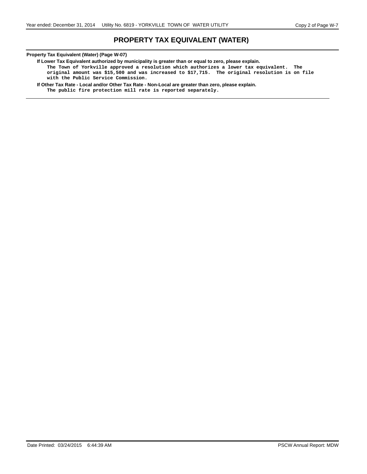### **PROPERTY TAX EQUIVALENT (WATER)**

#### **Property Tax Equivalent (Water) (Page W-07)**

**If Lower Tax Equivalent authorized by municipality is greater than or equal to zero, please explain.**

**The Town of Yorkville approved a resolution which authorizes a lower tax equivalent. The original amount was \$15,500 and was increased to \$17,715. The original resolution is on file with the Public Service Commission.**

**If Other Tax Rate - Local and/or Other Tax Rate - Non-Local are greater than zero, please explain.**

**The public fire protection mill rate is reported separately.**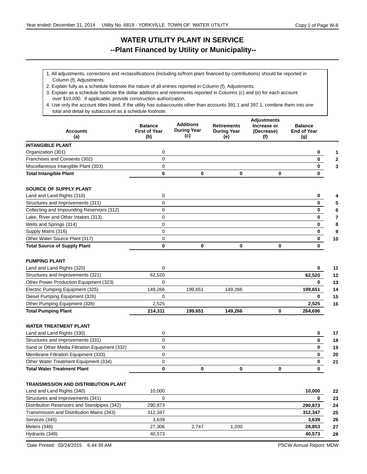# **WATER UTILITY PLANT IN SERVICE --Plant Financed by Utility or Municipality--**

- 1. All adjustments, corrections and reclassifications (including to/from plant financed by contributions) should be reported in Column (f), Adjustments.
- 2. Explain fully as a schedule footnote the nature of all entries reported in Column (f), Adjustments.
- 3. Explain as a schedule footnote the dollar additions and retirements reported in Columns (c) and (e) for each account over \$10,000. If applicable, provide construction authorization.
- total and detail by subaccount as a schedule footnote. 4. Use only the account titles listed. If the utility has subaccounts other than accounts 391.1 and 397.1, combine them into one

| <b>Accounts</b><br>(a)                         | <b>Balance</b><br><b>First of Year</b><br>(b) | <b>Additions</b><br><b>During Year</b><br>(c) | <b>Retirements</b><br><b>During Year</b><br>(e) | <b>Adjustments</b><br>Increase or<br>(Decrease)<br>(f) | <b>Balance</b><br><b>End of Year</b><br>(g) |
|------------------------------------------------|-----------------------------------------------|-----------------------------------------------|-------------------------------------------------|--------------------------------------------------------|---------------------------------------------|
| <b>INTANGIBLE PLANT</b>                        |                                               |                                               |                                                 |                                                        |                                             |
| Organization (301)                             | 0                                             |                                               |                                                 |                                                        | 0                                           |
| Franchises and Consents (302)                  | $\mathbf 0$                                   |                                               |                                                 |                                                        | 0                                           |
| Miscellaneous Intangible Plant (303)           | $\Omega$                                      |                                               |                                                 |                                                        | 0                                           |
| <b>Total Intangible Plant</b>                  | 0                                             | 0                                             | 0                                               | 0                                                      | 0                                           |
| <b>SOURCE OF SUPPLY PLANT</b>                  |                                               |                                               |                                                 |                                                        |                                             |
| Land and Land Rights (310)                     | 0                                             |                                               |                                                 |                                                        | 0                                           |
| Structures and Improvements (311)              | 0                                             |                                               |                                                 |                                                        | 0                                           |
| Collecting and Impounding Reservoirs (312)     | $\mathbf 0$                                   |                                               |                                                 |                                                        | 0                                           |
| Lake, River and Other Intakes (313)            | 0                                             |                                               |                                                 |                                                        | 0                                           |
| Wells and Springs (314)                        | $\mathbf 0$                                   |                                               |                                                 |                                                        | 0                                           |
| Supply Mains (316)                             | $\mathbf 0$                                   |                                               |                                                 |                                                        | 0                                           |
| Other Water Source Plant (317)                 | 0                                             |                                               |                                                 |                                                        | 0<br>10                                     |
| <b>Total Source of Supply Plant</b>            | 0                                             | 0                                             | $\bf{0}$                                        | $\bf{0}$                                               | 0                                           |
| <b>PUMPING PLANT</b>                           |                                               |                                               |                                                 |                                                        |                                             |
| Land and Land Rights (320)                     | 0                                             |                                               |                                                 |                                                        | 0<br>11                                     |
| Structures and Improvements (321)              | 62,520                                        |                                               |                                                 |                                                        | 62,520<br>12                                |
| Other Power Production Equipment (323)         | 0                                             |                                               |                                                 |                                                        | 0<br>13                                     |
| Electric Pumping Equipment (325)               | 149,266                                       | 199,651                                       | 149,266                                         |                                                        | 199,651<br>14                               |
| Diesel Pumping Equipment (326)                 | 0                                             |                                               |                                                 |                                                        | 0<br>15                                     |
| Other Pumping Equipment (328)                  | 2,525                                         |                                               |                                                 |                                                        | 2,525<br>16                                 |
| <b>Total Pumping Plant</b>                     | 214,311                                       | 199,651                                       | 149,266                                         | $\bf{0}$                                               | 264,696                                     |
| <b>WATER TREATMENT PLANT</b>                   |                                               |                                               |                                                 |                                                        |                                             |
| Land and Land Rights (330)                     | 0                                             |                                               |                                                 |                                                        | 17<br>0                                     |
| Structures and Improvements (331)              | 0                                             |                                               |                                                 |                                                        | 0<br>18                                     |
| Sand or Other Media Filtration Equipment (332) | $\mathbf 0$                                   |                                               |                                                 |                                                        | 0<br>19                                     |
| Membrane Filtration Equipment (333)            | $\Omega$                                      |                                               |                                                 |                                                        | 0<br>20                                     |
| Other Water Treatment Equipment (334)          | 0                                             |                                               |                                                 |                                                        | 0<br>21                                     |
| <b>Total Water Treatment Plant</b>             | 0                                             | 0                                             | $\bf{0}$                                        | $\bf{0}$                                               | $\bf{0}$                                    |
| <b>TRANSMISSION AND DISTRIBUTION PLANT</b>     |                                               |                                               |                                                 |                                                        |                                             |
| Land and Land Rights (340)                     | 10,000                                        |                                               |                                                 |                                                        | 10,000<br>22                                |
| Structures and Improvements (341)              | 0                                             |                                               |                                                 |                                                        | 0<br>23                                     |
| Distribution Reservoirs and Standpipes (342)   | 290,873                                       |                                               |                                                 |                                                        | 24<br>290,873                               |
| Transmission and Distribution Mains (343)      | 312,347                                       |                                               |                                                 |                                                        | 312,347<br>25                               |
| Services (345)                                 | 3,639                                         |                                               |                                                 |                                                        | 3,639<br>26                                 |
| Meters (346)                                   | 27,306                                        | 2.747                                         | 1,200                                           |                                                        | 28,853<br>27                                |

Hydrants (348) 40,573 **40,573 28**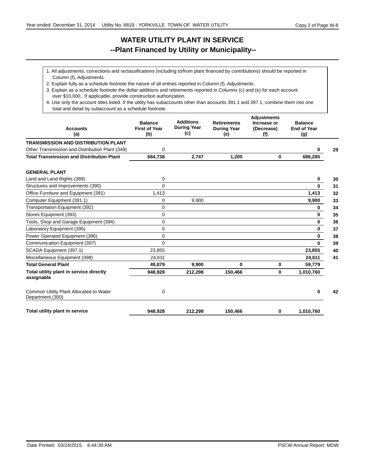# **WATER UTILITY PLANT IN SERVICE --Plant Financed by Utility or Municipality--**

- 1. All adjustments, corrections and reclassifications (including to/from plant financed by contributions) should be reported in Column (f), Adjustments.
- 2. Explain fully as a schedule footnote the nature of all entries reported in Column (f), Adjustments.
- 3. Explain as a schedule footnote the dollar additions and retirements reported in Columns (c) and (e) for each account over \$10,000. If applicable, provide construction authorization.
- total and detail by subaccount as a schedule footnote. 4. Use only the account titles listed. If the utility has subaccounts other than accounts 391.1 and 397.1, combine them into one

| <b>Accounts</b><br>(a)                                      | <b>Balance</b><br><b>First of Year</b><br>(b) | <b>Additions</b><br><b>During Year</b><br>(c) | <b>Retirements</b><br><b>During Year</b><br>(e) | <b>Adjustments</b><br>Increase or<br>(Decrease)<br>(f) | <b>Balance</b><br><b>End of Year</b><br>(g) |    |
|-------------------------------------------------------------|-----------------------------------------------|-----------------------------------------------|-------------------------------------------------|--------------------------------------------------------|---------------------------------------------|----|
| <b>TRANSMISSION AND DISTRIBUTION PLANT</b>                  |                                               |                                               |                                                 |                                                        |                                             |    |
| Other Transmission and Distribution Plant (349)             | 0                                             |                                               |                                                 |                                                        | 0                                           | 29 |
| <b>Total Transmission and Distribution Plant</b>            | 684,738                                       | 2,747                                         | 1,200                                           | 0                                                      | 686,285                                     |    |
| <b>GENERAL PLANT</b>                                        |                                               |                                               |                                                 |                                                        |                                             |    |
| Land and Land Rights (389)                                  | 0                                             |                                               |                                                 |                                                        | 0                                           | 30 |
| Structures and Improvements (390)                           | $\Omega$                                      |                                               |                                                 |                                                        | $\bf{0}$                                    | 31 |
| Office Furniture and Equipment (391)                        | 1,413                                         |                                               |                                                 |                                                        | 1,413                                       | 32 |
| Computer Equipment (391.1)                                  | 0                                             | 9,900                                         |                                                 |                                                        | 9,900                                       | 33 |
| Transportation Equipment (392)                              | 0                                             |                                               |                                                 |                                                        | 0                                           | 34 |
| Stores Equipment (393)                                      | 0                                             |                                               |                                                 |                                                        | 0                                           | 35 |
| Tools, Shop and Garage Equipment (394)                      | 0                                             |                                               |                                                 |                                                        | $\mathbf 0$                                 | 36 |
| Laboratory Equipment (395)                                  | 0                                             |                                               |                                                 |                                                        | 0                                           | 37 |
| Power Operated Equipment (396)                              | $\Omega$                                      |                                               |                                                 |                                                        | $\mathbf 0$                                 | 38 |
| Communication Equipment (397)                               | 0                                             |                                               |                                                 |                                                        | $\mathbf 0$                                 | 39 |
| SCADA Equipment (397.1)                                     | 23,855                                        |                                               |                                                 |                                                        | 23,855                                      | 40 |
| Miscellaneous Equipment (398)                               | 24,611                                        |                                               |                                                 |                                                        | 24,611                                      | 41 |
| <b>Total General Plant</b>                                  | 49,879                                        | 9,900                                         | 0                                               | 0                                                      | 59,779                                      |    |
| Total utility plant in service directly<br>assignable       | 948,928                                       | 212,298                                       | 150,466                                         | 0                                                      | 1,010,760                                   |    |
| Common Utility Plant Allocated to Water<br>Department (300) | 0                                             |                                               |                                                 |                                                        | 0                                           | 42 |
| Total utility plant in service                              | 948,928                                       | 212,298                                       | 150,466                                         | 0                                                      | 1,010,760                                   |    |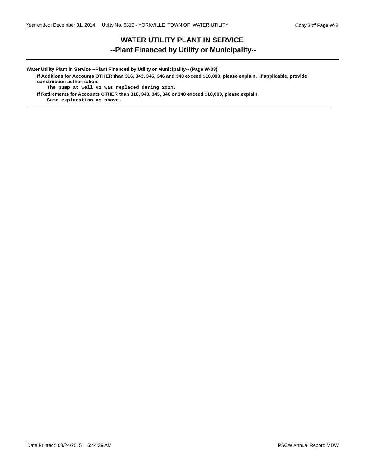# **WATER UTILITY PLANT IN SERVICE --Plant Financed by Utility or Municipality--**

**Water Utility Plant in Service --Plant Financed by Utility or Municipality-- (Page W-08) If Additions for Accounts OTHER than 316, 343, 345, 346 and 348 exceed \$10,000, please explain. If applicable, provide construction authorization.**

**The pump at well #1 was replaced during 2014.**

**If Retirements for Accounts OTHER than 316, 343, 345, 346 or 348 exceed \$10,000, please explain.**

**Same explanation as above.**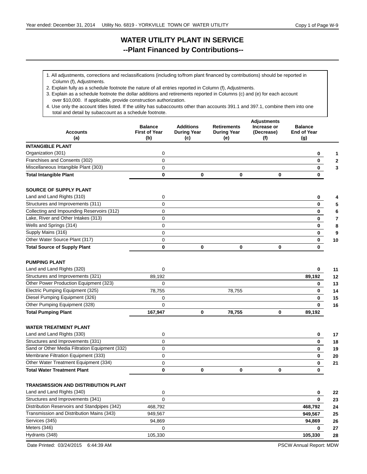# **WATER UTILITY PLANT IN SERVICE --Plant Financed by Contributions--**

- 1. All adjustments, corrections and reclassifications (including to/from plant financed by contributions) should be reported in Column (f), Adjustments.
- 2. Explain fully as a schedule footnote the nature of all entries reported in Column (f), Adjustments.
- 3. Explain as a schedule footnote the dollar additions and retirements reported in Columns (c) and (e) for each account over \$10,000. If applicable, provide construction authorization.
- total and detail by subaccount as a schedule footnote. 4. Use only the account titles listed. If the utility has subaccounts other than accounts 391.1 and 397.1, combine them into one

| <b>Accounts</b><br>(a)                         | <b>Balance</b><br><b>First of Year</b><br>(b) | <b>Additions</b><br><b>During Year</b><br>(c) | <b>Retirements</b><br><b>During Year</b><br>(e) | <b>Adjustments</b><br>Increase or<br>(Decrease)<br>(f) | <b>Balance</b><br><b>End of Year</b><br>(g) |
|------------------------------------------------|-----------------------------------------------|-----------------------------------------------|-------------------------------------------------|--------------------------------------------------------|---------------------------------------------|
| <b>INTANGIBLE PLANT</b>                        |                                               |                                               |                                                 |                                                        |                                             |
| Organization (301)                             | 0                                             |                                               |                                                 |                                                        | 0                                           |
| Franchises and Consents (302)                  | 0                                             |                                               |                                                 |                                                        | 0                                           |
| Miscellaneous Intangible Plant (303)           | 0                                             |                                               |                                                 |                                                        | $\mathbf{0}$                                |
| <b>Total Intangible Plant</b>                  | 0                                             | 0                                             | 0                                               | $\bf{0}$                                               | 0                                           |
| <b>SOURCE OF SUPPLY PLANT</b>                  |                                               |                                               |                                                 |                                                        |                                             |
| Land and Land Rights (310)                     | 0                                             |                                               |                                                 |                                                        | 0                                           |
| Structures and Improvements (311)              | 0                                             |                                               |                                                 |                                                        | $\mathbf 0$                                 |
| Collecting and Impounding Reservoirs (312)     | 0                                             |                                               |                                                 |                                                        | $\mathbf 0$                                 |
| Lake, River and Other Intakes (313)            | 0                                             |                                               |                                                 |                                                        | $\overline{\mathbf{0}}$                     |
| Wells and Springs (314)                        | 0                                             |                                               |                                                 |                                                        | $\overline{\mathbf{0}}$                     |
| Supply Mains (316)                             | 0                                             |                                               |                                                 |                                                        | $\mathbf 0$                                 |
| Other Water Source Plant (317)                 | 0                                             |                                               |                                                 |                                                        | $\mathbf{0}$                                |
| <b>Total Source of Supply Plant</b>            | 0                                             | 0                                             | 0                                               | $\bf{0}$                                               | 0                                           |
| <b>PUMPING PLANT</b>                           |                                               |                                               |                                                 |                                                        |                                             |
| Land and Land Rights (320)                     | 0                                             |                                               |                                                 |                                                        | 0                                           |
| Structures and Improvements (321)              | 89,192                                        |                                               |                                                 |                                                        | 89,192                                      |
| Other Power Production Equipment (323)         | 0                                             |                                               |                                                 |                                                        | 0                                           |
| Electric Pumping Equipment (325)               | 78,755                                        |                                               | 78,755                                          |                                                        | 0                                           |
| Diesel Pumping Equipment (326)                 | 0                                             |                                               |                                                 |                                                        | 0                                           |
| Other Pumping Equipment (328)                  | 0                                             |                                               |                                                 |                                                        | 0                                           |
| <b>Total Pumping Plant</b>                     | 167,947                                       | 0                                             | 78,755                                          | $\bf{0}$                                               | 89,192                                      |
| <b>WATER TREATMENT PLANT</b>                   |                                               |                                               |                                                 |                                                        |                                             |
| Land and Land Rights (330)                     | 0                                             |                                               |                                                 |                                                        | 0                                           |
| Structures and Improvements (331)              | 0                                             |                                               |                                                 |                                                        | 0                                           |
| Sand or Other Media Filtration Equipment (332) | 0                                             |                                               |                                                 |                                                        | 0                                           |
| Membrane Filtration Equipment (333)            | 0                                             |                                               |                                                 |                                                        | 0                                           |
| Other Water Treatment Equipment (334)          | 0                                             |                                               |                                                 |                                                        | 0                                           |
| <b>Total Water Treatment Plant</b>             | 0                                             | 0                                             | 0                                               | $\bf{0}$                                               | 0                                           |
| TRANSMISSION AND DISTRIBUTION PLANT            |                                               |                                               |                                                 |                                                        |                                             |
| Land and Land Rights (340)                     | 0                                             |                                               |                                                 |                                                        | 0                                           |
| Structures and Improvements (341)              | 0                                             |                                               |                                                 |                                                        | 0                                           |
| Distribution Reservoirs and Standpipes (342)   | 468,792                                       |                                               |                                                 |                                                        | 468,792                                     |
| Transmission and Distribution Mains (343)      | 949,567                                       |                                               |                                                 |                                                        | 949,567                                     |
| Services (345)                                 | 94,869                                        |                                               |                                                 |                                                        | 94,869                                      |
| Meters (346)                                   | 0                                             |                                               |                                                 |                                                        | 0                                           |
| Hydrants (348)                                 | 105,330                                       |                                               |                                                 |                                                        | 105,330                                     |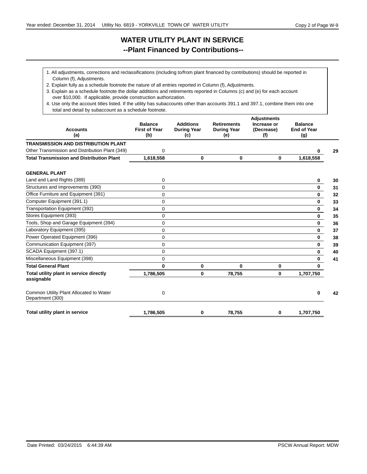# **WATER UTILITY PLANT IN SERVICE --Plant Financed by Contributions--**

- 1. All adjustments, corrections and reclassifications (including to/from plant financed by contributions) should be reported in Column (f), Adjustments.
- 2. Explain fully as a schedule footnote the nature of all entries reported in Column (f), Adjustments.
- 3. Explain as a schedule footnote the dollar additions and retirements reported in Columns (c) and (e) for each account over \$10,000. If applicable, provide construction authorization.
- total and detail by subaccount as a schedule footnote. 4. Use only the account titles listed. If the utility has subaccounts other than accounts 391.1 and 397.1, combine them into one

| <b>Accounts</b><br>(a)                                      | <b>Balance</b><br><b>First of Year</b><br>(b) | <b>Additions</b><br><b>During Year</b><br>(c) | <b>Retirements</b><br><b>During Year</b><br>(e) | <b>Adjustments</b><br>Increase or<br>(Decrease)<br>(f) | <b>Balance</b><br><b>End of Year</b><br>(g) |    |
|-------------------------------------------------------------|-----------------------------------------------|-----------------------------------------------|-------------------------------------------------|--------------------------------------------------------|---------------------------------------------|----|
| <b>TRANSMISSION AND DISTRIBUTION PLANT</b>                  |                                               |                                               |                                                 |                                                        |                                             |    |
| Other Transmission and Distribution Plant (349)             | 0                                             |                                               |                                                 |                                                        | 0                                           | 29 |
| <b>Total Transmission and Distribution Plant</b>            | 1,618,558                                     | 0                                             | 0                                               | $\bf{0}$                                               | 1,618,558                                   |    |
| <b>GENERAL PLANT</b>                                        |                                               |                                               |                                                 |                                                        |                                             |    |
| Land and Land Rights (389)                                  | 0                                             |                                               |                                                 |                                                        | 0                                           | 30 |
| Structures and Improvements (390)                           | 0                                             |                                               |                                                 |                                                        | $\mathbf 0$                                 | 31 |
| Office Furniture and Equipment (391)                        | 0                                             |                                               |                                                 |                                                        | $\mathbf 0$                                 | 32 |
| Computer Equipment (391.1)                                  | $\Omega$                                      |                                               |                                                 |                                                        | $\bf{0}$                                    | 33 |
| Transportation Equipment (392)                              | 0                                             |                                               |                                                 |                                                        | $\mathbf 0$                                 | 34 |
| Stores Equipment (393)                                      | 0                                             |                                               |                                                 |                                                        | $\mathbf 0$                                 | 35 |
| Tools, Shop and Garage Equipment (394)                      | 0                                             |                                               |                                                 |                                                        | $\bf{0}$                                    | 36 |
| Laboratory Equipment (395)                                  | 0                                             |                                               |                                                 |                                                        | $\mathbf 0$                                 | 37 |
| Power Operated Equipment (396)                              | $\Omega$                                      |                                               |                                                 |                                                        | 0                                           | 38 |
| Communication Equipment (397)                               | 0                                             |                                               |                                                 |                                                        | $\mathbf 0$                                 | 39 |
| SCADA Equipment (397.1)                                     | $\Omega$                                      |                                               |                                                 |                                                        | $\mathbf{0}$                                | 40 |
| Miscellaneous Equipment (398)                               | 0                                             |                                               |                                                 |                                                        | 0                                           | 41 |
| <b>Total General Plant</b>                                  | 0                                             | 0                                             | 0                                               | 0                                                      | $\mathbf 0$                                 |    |
| Total utility plant in service directly<br>assignable       | 1,786,505                                     | 0                                             | 78,755                                          | 0                                                      | 1,707,750                                   |    |
| Common Utility Plant Allocated to Water<br>Department (300) | 0                                             |                                               |                                                 |                                                        | 0                                           | 42 |
| Total utility plant in service                              | 1,786,505                                     | 0                                             | 78,755                                          | 0                                                      | 1,707,750                                   |    |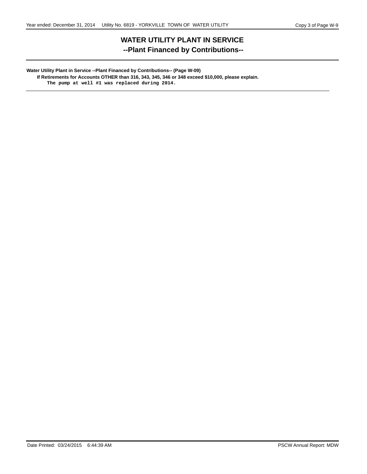# **WATER UTILITY PLANT IN SERVICE --Plant Financed by Contributions--**

#### **Water Utility Plant in Service --Plant Financed by Contributions-- (Page W-09) If Retirements for Accounts OTHER than 316, 343, 345, 346 or 348 exceed \$10,000, please explain. The pump at well #1 was replaced during 2014.**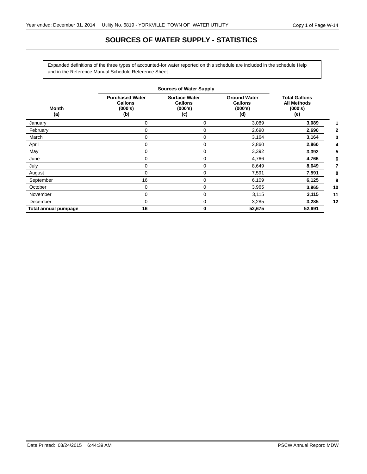# **SOURCES OF WATER SUPPLY - STATISTICS**

Expanded definitions of the three types of accounted-for water reported on this schedule are included in the schedule Help and in the Reference Manual Schedule Reference Sheet.

|                      |                                                            | <b>Sources of Water Supply</b>                           |                                                         |                                                              |    |
|----------------------|------------------------------------------------------------|----------------------------------------------------------|---------------------------------------------------------|--------------------------------------------------------------|----|
| Month<br>(a)         | <b>Purchased Water</b><br><b>Gallons</b><br>(000's)<br>(b) | <b>Surface Water</b><br><b>Gallons</b><br>(000's)<br>(c) | <b>Ground Water</b><br><b>Gallons</b><br>(000's)<br>(d) | <b>Total Gallons</b><br><b>All Methods</b><br>(000's)<br>(e) |    |
| January              | 0                                                          | 0                                                        | 3,089                                                   | 3,089                                                        |    |
| February             | $\Omega$                                                   | 0                                                        | 2,690                                                   | 2,690                                                        |    |
| March                | 0                                                          | 0                                                        | 3,164                                                   | 3,164                                                        |    |
| April                | 0                                                          | 0                                                        | 2,860                                                   | 2,860                                                        |    |
| May                  | 0                                                          | 0                                                        | 3,392                                                   | 3,392                                                        |    |
| June                 | 0                                                          | 0                                                        | 4,766                                                   | 4,766                                                        |    |
| July                 | 0                                                          | 0                                                        | 8,649                                                   | 8,649                                                        |    |
| August               | $\Omega$                                                   | 0                                                        | 7,591                                                   | 7,591                                                        |    |
| September            | 16                                                         | 0                                                        | 6,109                                                   | 6,125                                                        |    |
| October              | 0                                                          | 0                                                        | 3,965                                                   | 3,965                                                        | 10 |
| November             | 0                                                          | 0                                                        | 3,115                                                   | 3,115                                                        | 11 |
| December             | $\Omega$                                                   | 0                                                        | 3,285                                                   | 3,285                                                        | 12 |
| Total annual pumpage | 16                                                         | 0                                                        | 52,675                                                  | 52,691                                                       |    |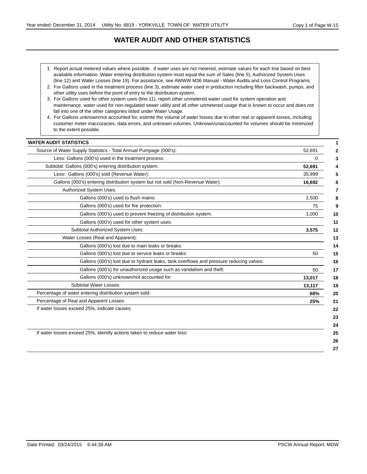# **WATER AUDIT AND OTHER STATISTICS**

- 1. Report actual metered values where possible. If water uses are not metered, estimate values for each line based on best available information. Water entering distribution system must equal the sum of Sales (line 5), Authorized System Uses (line 12) and Water Losses (line 19). For assistance, see AWWW M36 Manual - Water Audits and Loss Control Programs.
- 2. For Gallons used in the treatment process (line 3), estimate water used in production including filter backwash, pumps, and other utility uses before the point of entry to the distribution system.
- maintenance, water used for non-regulated sewer utility and all other unmetered usage that is known to occur and does not fall into one of the other categories listed under Water Usage. 3. For Gallons used for other system uses (line 11), report other unmetered water used for system operation and
- customer meter inaccuracies, data errors, and unknown volumes. Unknown/unaccounted for volumes should be minimized to the extent possible. 4. For Gallons unknown/not accounted for, estimte the volume of water losses due to other real or apparent losses, including

| 0<br>52,691<br>35,999<br>16,692<br>2,500<br>75 |
|------------------------------------------------|
|                                                |
|                                                |
|                                                |
|                                                |
|                                                |
|                                                |
|                                                |
| 1,000                                          |
|                                                |
| 3,575                                          |
|                                                |
|                                                |
| 50                                             |
|                                                |
| 50                                             |
| 13,017                                         |
| 13,117                                         |
| 68%                                            |
| 25%                                            |
|                                                |
|                                                |
|                                                |
|                                                |
|                                                |
|                                                |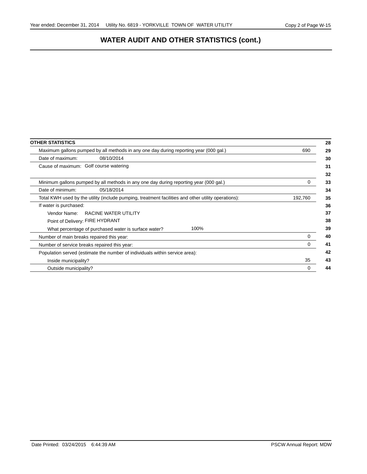# **WATER AUDIT AND OTHER STATISTICS (cont.)**

| <b>OTHER STATISTICS</b>                                                                             |         |
|-----------------------------------------------------------------------------------------------------|---------|
| Maximum gallons pumped by all methods in any one day during reporting year (000 gal.)               | 690     |
| 08/10/2014<br>Date of maximum:                                                                      |         |
| Cause of maximum: Golf course watering                                                              |         |
|                                                                                                     |         |
| Minimum gallons pumped by all methods in any one day during reporting year (000 gal.)               | 0       |
| Date of minimum:<br>05/18/2014                                                                      |         |
| Total KWH used by the utility (include pumping, treatment facilities and other utility operations): | 192,760 |
| If water is purchased:                                                                              |         |
| Vendor Name:<br>RACINE WATER UTILITY                                                                |         |
| Point of Delivery: FIRE HYDRANT                                                                     |         |
| 100%<br>What percentage of purchased water is surface water?                                        |         |
| Number of main breaks repaired this year:                                                           | 0       |
| Number of service breaks repaired this year:                                                        | 0       |
| Population served (estimate the number of individuals within service area):                         |         |
| Inside municipality?                                                                                | 35      |
| Outside municipality?                                                                               |         |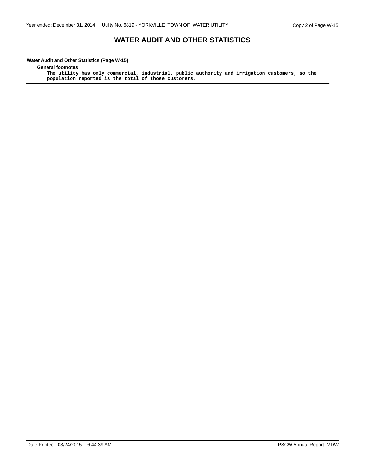### **WATER AUDIT AND OTHER STATISTICS**

#### **Water Audit and Other Statistics (Page W-15)**

**General footnotes**

**The utility has only commercial, industrial, public authority and irrigation customers, so the population reported is the total of those customers.**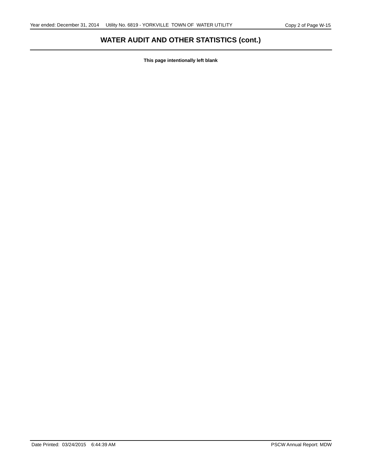# **WATER AUDIT AND OTHER STATISTICS (cont.)**

**This page intentionally left blank**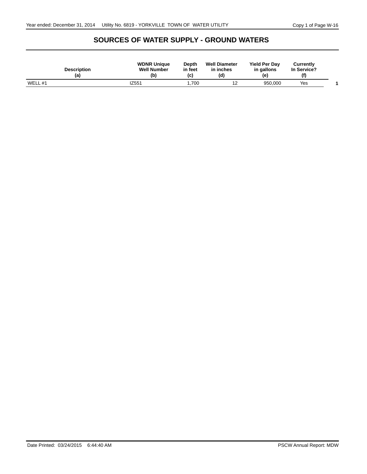## **SOURCES OF WATER SUPPLY - GROUND WATERS**

| <b>Description</b><br>(a) | <b>WDNR Unique</b><br><b>Well Number</b><br>(b | Depth<br>in feet<br>(c) | <b>Well Diameter</b><br>in inches<br>(d) | <b>Yield Per Day</b><br>in gallons<br>(e) | Currently<br>In Service?<br>(f) |  |
|---------------------------|------------------------------------------------|-------------------------|------------------------------------------|-------------------------------------------|---------------------------------|--|
| WELL #1                   | IZ551                                          | .700                    | . .                                      | 950,000                                   | Yes                             |  |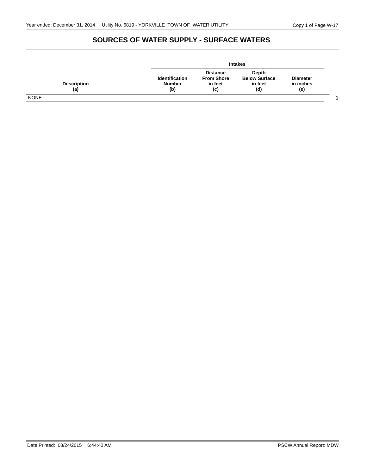# **SOURCES OF WATER SUPPLY - SURFACE WATERS**

|                           |                                               |                                                        | <b>Intakes</b>                                  |                                     |  |
|---------------------------|-----------------------------------------------|--------------------------------------------------------|-------------------------------------------------|-------------------------------------|--|
| <b>Description</b><br>(a) | <b>Identification</b><br><b>Number</b><br>(b) | <b>Distance</b><br><b>From Shore</b><br>in feet<br>(c) | Depth<br><b>Below Surface</b><br>in feet<br>(d) | <b>Diameter</b><br>in inches<br>(e) |  |
| <b>NONE</b>               |                                               |                                                        |                                                 |                                     |  |

Date Printed: 03/24/2015 6:44:40 AM PSCW Annual Report: MDW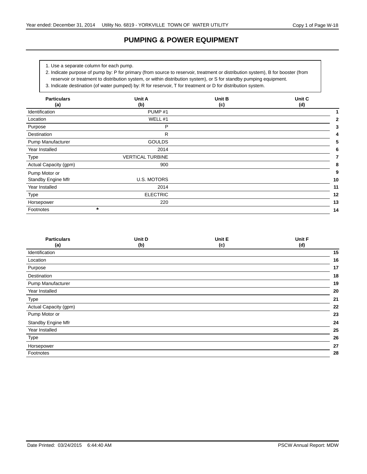## **PUMPING & POWER EQUIPMENT**

1. Use a separate column for each pump.

reservoir or treatment to distribution system, or within distribution system), or S for standby pumping equipment. 2. Indicate purpose of pump by: P for primary (from source to reservoir, treatment or distribution system), B for booster (from

3. Indicate destination (of water pumped) by: R for reservoir, T for treatment or D for distribution system.

| <b>Particulars</b><br>(a) | <b>Unit B</b><br>Unit A<br>(b)<br>(c) |  | Unit C<br>(d) |
|---------------------------|---------------------------------------|--|---------------|
| Identification            | PUMP <sub>#1</sub>                    |  |               |
| Location                  | WELL #1                               |  | 2             |
| Purpose                   | P                                     |  | 3             |
| Destination               | R                                     |  | 4             |
| Pump Manufacturer         | <b>GOULDS</b>                         |  | 5             |
| Year Installed            | 2014                                  |  | 6             |
| Type                      | <b>VERTICAL TURBINE</b>               |  |               |
| Actual Capacity (gpm)     | 900                                   |  | 8             |
| Pump Motor or             |                                       |  | 9             |
| Standby Engine Mfr        | <b>U.S. MOTORS</b>                    |  | 10            |
| Year Installed            | 2014                                  |  | 11            |
| Type                      | <b>ELECTRIC</b>                       |  | 12            |
| Horsepower                | 220                                   |  |               |
| $\star$<br>Footnotes      |                                       |  | 14            |

| <b>Particulars</b><br>(a) | Unit D<br>(b) | Unit E<br>(c) | Unit F<br>(d) |    |
|---------------------------|---------------|---------------|---------------|----|
| Identification            |               |               |               | 15 |
| Location                  |               |               |               | 16 |
| Purpose                   |               |               |               | 17 |
| Destination               |               |               |               | 18 |
| Pump Manufacturer         |               |               |               | 19 |
| Year Installed            |               |               |               | 20 |
| Type                      |               |               |               | 21 |
| Actual Capacity (gpm)     |               |               |               | 22 |
| Pump Motor or             |               |               |               | 23 |
| Standby Engine Mfr        |               |               |               | 24 |
| Year Installed            |               |               |               | 25 |
| Type                      |               |               |               | 26 |
| Horsepower                |               |               |               | 27 |
| Footnotes                 |               |               |               | 28 |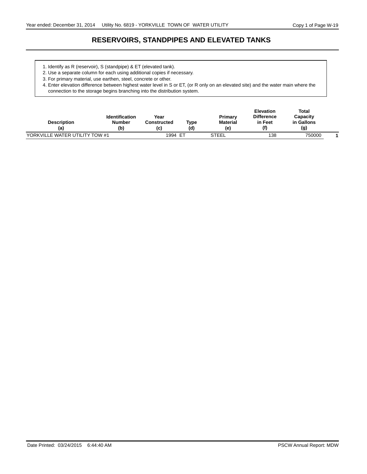# **RESERVOIRS, STANDPIPES AND ELEVATED TANKS**

- 1. Identify as R (reservoir), S (standpipe) & ET (elevated tank).
- 2. Use a separate column for each using additional copies if necessary.
- 3. For primary material, use earthen, steel, concrete or other.

4. Enter elevation difference between highest water level in S or ET, (or R only on an elevated site) and the water main where the connection to the storage begins branching into the distribution system.

| <b>Description</b><br>(a)      | <b>Identification</b><br>Number<br>(b) | Year<br>Constructed<br>(c) | Type<br>(d) | Primary<br><b>Material</b><br>(e) | <b>Elevation</b><br><b>Difference</b><br>in Feet<br>(f) | Total<br>Capacity<br>in Gallons<br>(g) |  |
|--------------------------------|----------------------------------------|----------------------------|-------------|-----------------------------------|---------------------------------------------------------|----------------------------------------|--|
| YORKVILLE WATER UTILITY TOW #1 |                                        | 1994                       | -ET         | <b>STEEL</b>                      | 138                                                     | 750000                                 |  |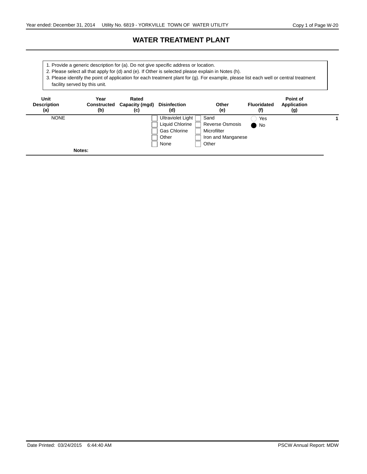## **WATER TREATMENT PLANT**

- 1. Provide a generic description for (a). Do not give specific address or location.
- 2. Please select all that apply for (d) and (e). If Other is selected please explain in Notes (h).

3. Please identify the point of application for each treatment plant for (g). For example, please list each well or central treatment facility served by this unit.

| Unit<br><b>Description</b><br>(a) | Year<br>(b) | Rated<br>Constructed Capacity (mgd)<br>(c) | <b>Disinfection</b><br>(d)             | Other<br>(e)                   | <b>Fluoridated</b><br>(f) | Point of<br><b>Application</b><br>(g) |  |
|-----------------------------------|-------------|--------------------------------------------|----------------------------------------|--------------------------------|---------------------------|---------------------------------------|--|
| <b>NONE</b>                       |             |                                            | Ultraviolet Light  <br>Liquid Chlorine | Sand<br><b>Reverse Osmosis</b> | Yes                       |                                       |  |
|                                   |             |                                            | <b>Gas Chlorine</b>                    | Microfilter                    | $\mathsf{No}$             |                                       |  |
|                                   |             |                                            | Other                                  | Iron and Manganese             |                           |                                       |  |
|                                   |             |                                            | None                                   | Other                          |                           |                                       |  |
|                                   | Notes:      |                                            |                                        |                                |                           |                                       |  |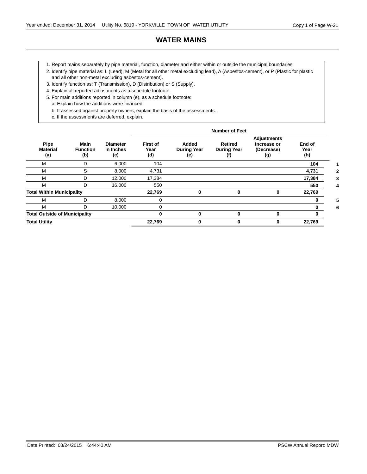### **WATER MAINS**

- 1. Report mains separately by pipe material, function, diameter and either within or outside the municipal boundaries.
- 2. Identify pipe material as: L (Lead), M (Metal for all other metal excluding lead), A (Asbestos-cement), or P (Plastic for plastic and all other non-metal excluding asbestos-cement).
- 3. Identify function as: T (Transmission), D (Distribution) or S (Supply).
- 4. Explain all reported adjustments as a schedule footnote.
- 5. For main additions reported in column (e), as a schedule footnote:
	- a. Explain how the additions were financed.
	- b. If assessed against property owners, explain the basis of the assessments.
	- c. If the assessments are deferred, explain.

|                                      |                                       |                                     |                                |                                    | <b>Number of Feet</b>                       |                                                        |                       |
|--------------------------------------|---------------------------------------|-------------------------------------|--------------------------------|------------------------------------|---------------------------------------------|--------------------------------------------------------|-----------------------|
| Pipe<br><b>Material</b><br>(a)       | <b>Main</b><br><b>Function</b><br>(b) | <b>Diameter</b><br>in Inches<br>(c) | <b>First of</b><br>Year<br>(d) | Added<br><b>During Year</b><br>(e) | <b>Retired</b><br><b>During Year</b><br>(f) | <b>Adjustments</b><br>Increase or<br>(Decrease)<br>(g) | End of<br>Year<br>(h) |
| M                                    | D                                     | 6.000                               | 104                            |                                    |                                             |                                                        | 104                   |
| M                                    | S                                     | 8.000                               | 4,731                          |                                    |                                             |                                                        | 4,731                 |
| M                                    | D                                     | 12.000                              | 17,384                         |                                    |                                             |                                                        | 17,384                |
| M                                    | D                                     | 16.000                              | 550                            |                                    |                                             |                                                        | 550                   |
| <b>Total Within Municipality</b>     |                                       |                                     | 22,769                         | 0                                  |                                             | 0                                                      | 22,769                |
| M                                    | D                                     | 8.000                               | 0                              |                                    |                                             |                                                        |                       |
| M                                    | D                                     | 10.000                              | $\Omega$                       |                                    |                                             |                                                        | 0                     |
| <b>Total Outside of Municipality</b> |                                       |                                     | 0                              | 0                                  | 0                                           | $\bf{0}$                                               | 0                     |
| <b>Total Utility</b>                 |                                       |                                     | 22,769                         | 0                                  | 0                                           | 0                                                      | 22,769                |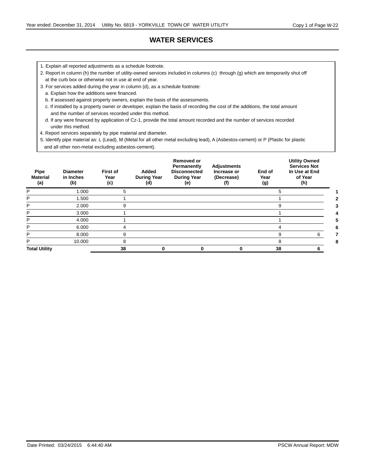# **WATER SERVICES**

- 1. Explain all reported adjustments as a schedule footnote.
- 2. Report in column (h) the number of utility-owned services included in columns (c) through (g) which are temporarily shut off at the curb box or otherwise not in use at end of year.
- 3. For services added during the year in column (d), as a schedule footnote:
	- a. Explain how the additions were financed.
	- b. If assessed against property owners, explain the basis of the assessments.
	- c. If installed by a property owner or developer, explain the basis of recording the cost of the additions, the total amount and the number of services recorded under this method.
	- d. If any were financed by application of Cz-1, provide the total amount recorded and the number of services recorded under this method.
- 4. Report services separately by pipe material and diameter.
- 5. Identify pipe material as: L (Lead), M (Metal for all other metal excluding lead), A (Asbestos-cement) or P (Plastic for plastic and all other non-metal excluding asbestos-cement).

| Pipe<br><b>Material</b><br>(a) | <b>Diameter</b><br>in Inches<br>(b) | First of<br>Year<br>(c) | Added<br><b>During Year</b><br>(d) | <b>Removed or</b><br>Permanently<br><b>Disconnected</b><br><b>During Year</b><br>(e) | <b>Adjustments</b><br>Increase or<br>(Decrease)<br>(f) | End of<br>Year<br>(g) | <b>Utility Owned</b><br><b>Services Not</b><br>In Use at End<br>of Year<br>(h) |
|--------------------------------|-------------------------------------|-------------------------|------------------------------------|--------------------------------------------------------------------------------------|--------------------------------------------------------|-----------------------|--------------------------------------------------------------------------------|
| P                              | 1.000                               | 5                       |                                    |                                                                                      |                                                        |                       |                                                                                |
| P                              | 1.500                               |                         |                                    |                                                                                      |                                                        |                       |                                                                                |
| P                              | 2.000                               | 9                       |                                    |                                                                                      |                                                        | 9                     |                                                                                |
| P                              | 3.000                               |                         |                                    |                                                                                      |                                                        |                       |                                                                                |
| P                              | 4.000                               |                         |                                    |                                                                                      |                                                        |                       |                                                                                |
| P                              | 6.000                               |                         |                                    |                                                                                      |                                                        |                       |                                                                                |
| P                              | 8.000                               | 9                       |                                    |                                                                                      |                                                        | 9                     | 6                                                                              |
| P                              | 10.000                              | 8                       |                                    |                                                                                      |                                                        | 8                     |                                                                                |
| <b>Total Utility</b>           |                                     | 38                      |                                    | 0                                                                                    | 0                                                      | 38                    |                                                                                |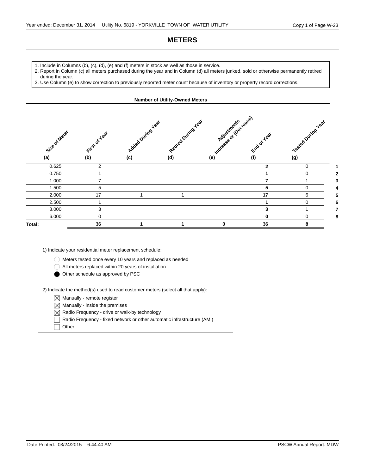### **METERS**

- 1. Include in Columns (b), (c), (d), (e) and (f) meters in stock as well as those in service.
- 2. Report in Column (c) all meters purchased during the year and in Column (d) all meters junked, sold or otherwise permanently retired during the year.
- 3. Use Column (e) to show correction to previously reported meter count because of inventory or property record corrections.

**Number of Utility-Owned Meters**

#### **(a) (b) (c) (d) (e) (f) Adjustments** degese) **Size of Meter Retired During Year** Added During Year **First of Year End of Year (g) Tested Duing Year** 0.625 2 **2** 0 **1** 0.750 1 **1** 0 **2** 1.000 7 **7** 1 **3** 1.500 5 **5** 0 **4** 2.000 17 1 1 **17** 6 **5** 2.500 1 **1** 0 **6** 3.000 3 **3** 1 **7** 6.000 0 **0** 0 **8 Total: 36 1 1 0 36 8**

1) Indicate your residential meter replacement schedule:

Meters tested once every 10 years and replaced as needed

All meters replaced within 20 years of installation

Other schedule as approved by PSC

 $-2$ ) Indicate the method(s) used to read customer meters (select all that apply):

- $\boxtimes$  Manually remote register
- $\boxtimes$  Manually inside the premises
- $\boxtimes$  Radio Frequency drive or walk-by technology
- Radio Frequency fixed network or other automatic infrastructure (AMI)

**Other**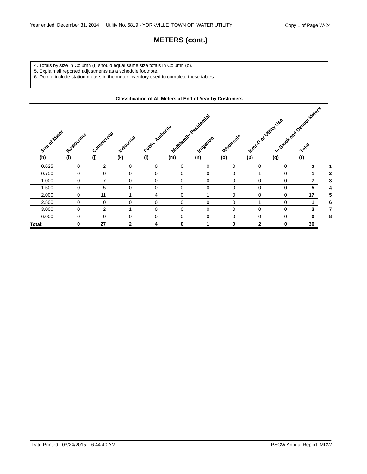# **METERS (cont.)**

- 4. Totals by size in Column (f) should equal same size totals in Column (o).
- 5. Explain all reported adjustments as a schedule footnote.
- 6. Do not include station meters in the meter inventory used to complete these tables.

|                      | <b>Classification of All Meters at End of Year by Customers</b> |                   |                   |                         |             |                                              |                         |                             |             |                                     |   |
|----------------------|-----------------------------------------------------------------|-------------------|-------------------|-------------------------|-------------|----------------------------------------------|-------------------------|-----------------------------|-------------|-------------------------------------|---|
| Size of Meter<br>(h) | Residential<br>(i)                                              | Commercial<br>(j) | Industrial<br>(k) | Public Authority<br>(1) | (m)         | Multiparity Residential<br>Irrigation<br>(n) | <b>Wholesale</b><br>(o) | Interno d Vility Vse<br>(p) | (q)         | In Stock and Deduct Material<br>(r) |   |
| 0.625                | 0                                                               | $\overline{2}$    | 0                 | $\mathbf 0$             | 0           | 0                                            | 0                       | 0                           | 0           | $\mathbf{2}$                        |   |
| 0.750                | 0                                                               | 0                 | $\Omega$          | $\Omega$                | $\Omega$    | 0                                            | 0                       |                             | $\Omega$    |                                     | 2 |
| 1.000                | 0                                                               | $\overline{7}$    | $\Omega$          | $\Omega$                | $\Omega$    | 0                                            | 0                       | $\Omega$                    | $\Omega$    | $\overline{7}$                      | 3 |
| 1.500                | 0                                                               | 5                 | $\Omega$          | $\Omega$                | $\Omega$    | 0                                            | 0                       | $\Omega$                    | $\Omega$    | 5                                   | 4 |
| 2.000                | 0                                                               | 11                |                   | 4                       | $\mathbf 0$ |                                              | 0                       | $\Omega$                    | $\mathbf 0$ | 17                                  | 5 |
| 2.500                | 0                                                               | 0                 | $\Omega$          | $\Omega$                | $\Omega$    | 0                                            | 0                       |                             | $\Omega$    | 1                                   | 6 |
| 3.000                | 0                                                               | $\overline{2}$    |                   | $\Omega$                | 0           | 0                                            | 0                       | $\Omega$                    | 0           | $\mathbf{3}$                        | 7 |
| 6.000                | 0                                                               | $\Omega$          | $\Omega$          | $\Omega$                | $\Omega$    | 0                                            | $\Omega$                | $\Omega$                    | $\Omega$    | $\bf{0}$                            | 8 |
| Total:               | 0                                                               | 27                | $\mathbf{2}$      | 4                       | 0           |                                              | 0                       | $\mathbf{2}$                | 0           | 36                                  |   |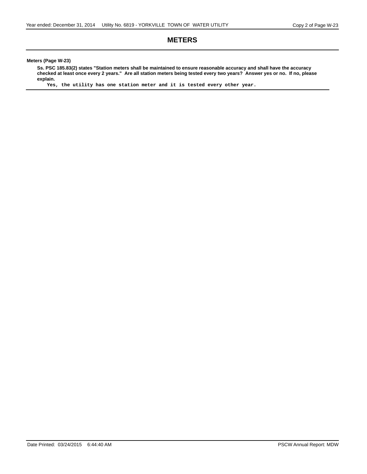#### **METERS**

**Meters (Page W-23)**

**Ss. PSC 185.83(2) states "Station meters shall be maintained to ensure reasonable accuracy and shall have the accuracy checked at least once every 2 years." Are all station meters being tested every two years? Answer yes or no. If no, please explain.**

**Yes, the utility has one station meter and it is tested every other year.**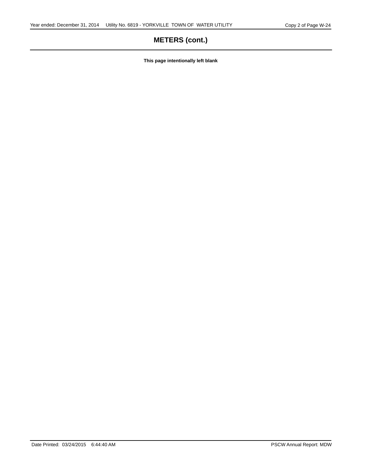# **METERS (cont.)**

**This page intentionally left blank**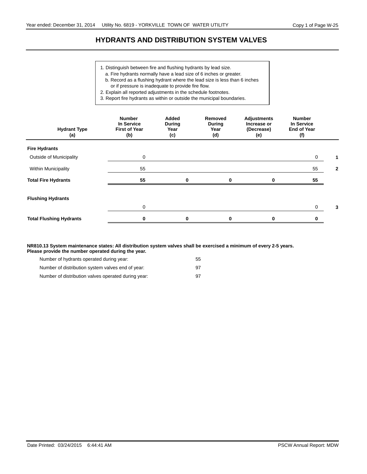### **HYDRANTS AND DISTRIBUTION SYSTEM VALVES**

- 1. Distinguish between fire and flushing hydrants by lead size.
- a. Fire hydrants normally have a lead size of 6 inches or greater.
- b. Record as a flushing hydrant where the lead size is less than 6 inches
- or if pressure is inadequate to provide fire flow.
- 2. Explain all reported adjustments in the schedule footnotes.

3. Report fire hydrants as within or outside the municipal boundaries.

| <b>Hydrant Type</b><br>(a)     | <b>Number</b><br>In Service<br><b>First of Year</b><br>(b) | Added<br><b>During</b><br>Year<br>(c) | Removed<br><b>During</b><br>Year<br>(d) | <b>Adjustments</b><br>Increase or<br>(Decrease)<br>(e) | <b>Number</b><br>In Service<br><b>End of Year</b><br>(f) |   |
|--------------------------------|------------------------------------------------------------|---------------------------------------|-----------------------------------------|--------------------------------------------------------|----------------------------------------------------------|---|
| <b>Fire Hydrants</b>           |                                                            |                                       |                                         |                                                        |                                                          |   |
| Outside of Municipality        | $\mathbf 0$                                                |                                       |                                         |                                                        | 0                                                        |   |
| <b>Within Municipality</b>     | 55                                                         |                                       |                                         |                                                        | 55                                                       | 2 |
| <b>Total Fire Hydrants</b>     | 55                                                         | 0                                     |                                         |                                                        | 55                                                       |   |
| <b>Flushing Hydrants</b>       |                                                            |                                       |                                         |                                                        |                                                          |   |
|                                | 0                                                          |                                       |                                         |                                                        | 0                                                        | 3 |
| <b>Total Flushing Hydrants</b> | 0                                                          | 0                                     |                                         | 0                                                      |                                                          |   |

**NR810.13 System maintenance states: All distribution system valves shall be exercised a minimum of every 2-5 years. Please provide the number operated during the year.**

| Number of hydrants operated during year:            | 55 |
|-----------------------------------------------------|----|
| Number of distribution system valves end of year:   | 97 |
| Number of distribution valves operated during year: | 97 |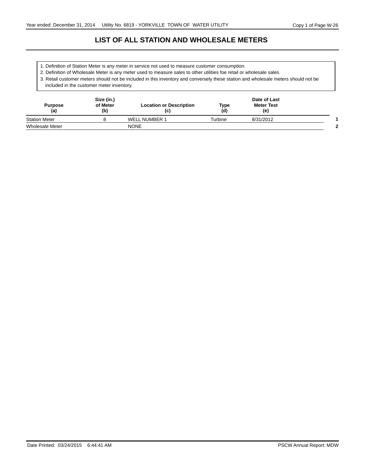# **LIST OF ALL STATION AND WHOLESALE METERS**

- 1. Definition of Station Meter is any meter in service not used to measure customer consumption.
- 2. Definition of Wholesale Meter is any meter used to measure sales to other utilities foe retail or wholesale sales.

3. Retail customer meters should not be included in this inventory and conversely these station and wholesale meters should not be included in the customer meter inventory.

| <b>Purpose</b><br>(a)  | Size (in.)<br>of Meter<br>(b) | <b>Location or Description</b><br>(c) | Type<br>(d) | Date of Last<br><b>Meter Test</b><br>(e) |   |
|------------------------|-------------------------------|---------------------------------------|-------------|------------------------------------------|---|
| <b>Station Meter</b>   |                               | <b>WELL NUMBER 1</b>                  | Turbine     | 8/31/2012                                |   |
| <b>Wholesale Meter</b> |                               | <b>NONE</b>                           |             |                                          | ≘ |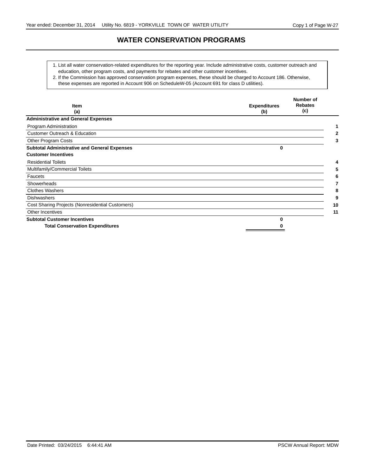### **WATER CONSERVATION PROGRAMS**

- 1. List all water conservation-related expenditures for the reporting year. Include administrative costs, customer outreach and education, other program costs, and payments for rebates and other customer incentives.
- 2. If the Commission has approved conservation program expenses, these should be charged to Account 186. Otherwise,
	- these expenses are reported in Account 906 on ScheduleW-05 (Account 691 for class D utilities).

| Item<br>(a)                                         | <b>Expenditures</b><br>(b) | Number of<br><b>Rebates</b><br>(c) |
|-----------------------------------------------------|----------------------------|------------------------------------|
| <b>Administrative and General Expenses</b>          |                            |                                    |
| Program Administration                              |                            |                                    |
| <b>Customer Outreach &amp; Education</b>            |                            |                                    |
| Other Program Costs                                 |                            | 3                                  |
| <b>Subtotal Administrative and General Expenses</b> | 0                          |                                    |
| <b>Customer Incentives</b>                          |                            |                                    |
| <b>Residential Toilets</b>                          |                            | 4                                  |
| Multifamily/Commercial Toilets                      |                            |                                    |
| Faucets                                             |                            |                                    |
| Showerheads                                         |                            |                                    |
| <b>Clothes Washers</b>                              |                            | 8                                  |
| <b>Dishwashers</b>                                  |                            | 9                                  |
| Cost Sharing Projects (Nonresidential Customers)    |                            | 10                                 |
| Other Incentives                                    |                            | 11                                 |
| <b>Subtotal Customer Incentives</b>                 | ŋ                          |                                    |
| <b>Total Conservation Expenditures</b>              |                            |                                    |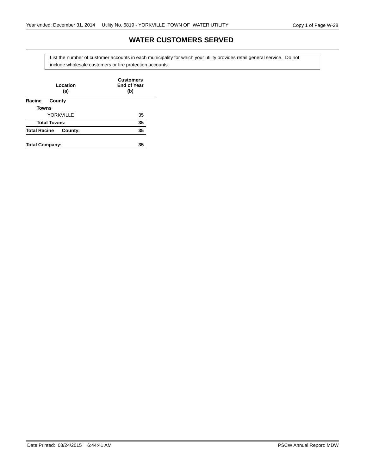## **WATER CUSTOMERS SERVED**

include wholesale customers or fire protection accounts. List the number of customer accounts in each municipality for which your utility provides retail general service. Do not

| Location<br>(a)                | <b>Customers</b><br><b>End of Year</b><br>(b) |
|--------------------------------|-----------------------------------------------|
| Racine<br>County               |                                               |
| <b>Towns</b>                   |                                               |
| YORKVILLE                      | 35                                            |
| <b>Total Towns:</b>            | 35                                            |
| <b>Total Racine</b><br>County: | 35                                            |
| <b>Total Company:</b>          | 35                                            |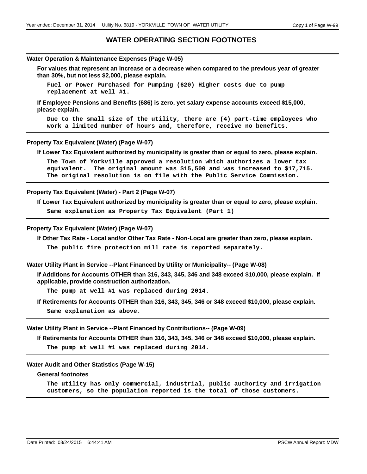## **WATER OPERATING SECTION FOOTNOTES**

#### **Water Operation & Maintenance Expenses (Page W-05)**

**For values that represent an increase or a decrease when compared to the previous year of greater than 30%, but not less \$2,000, please explain.**

**Fuel or Power Purchased for Pumping (620) Higher costs due to pump replacement at well #1.**

**If Employee Pensions and Benefits (686) is zero, yet salary expense accounts exceed \$15,000, please explain.**

**Due to the small size of the utility, there are (4) part-time employees who work a limited number of hours and, therefore, receive no benefits.**

#### **Property Tax Equivalent (Water) (Page W-07)**

**If Lower Tax Equivalent authorized by municipality is greater than or equal to zero, please explain.**

**The Town of Yorkville approved a resolution which authorizes a lower tax equivalent. The original amount was \$15,500 and was increased to \$17,715. The original resolution is on file with the Public Service Commission.**

## **Property Tax Equivalent (Water) - Part 2 (Page W-07)**

**If Lower Tax Equivalent authorized by municipality is greater than or equal to zero, please explain.**

**Same explanation as Property Tax Equivalent (Part 1)**

#### **Property Tax Equivalent (Water) (Page W-07)**

**If Other Tax Rate - Local and/or Other Tax Rate - Non-Local are greater than zero, please explain.**

**The public fire protection mill rate is reported separately.**

**Water Utility Plant in Service --Plant Financed by Utility or Municipality-- (Page W-08)**

**If Additions for Accounts OTHER than 316, 343, 345, 346 and 348 exceed \$10,000, please explain. If applicable, provide construction authorization.**

**The pump at well #1 was replaced during 2014.**

**If Retirements for Accounts OTHER than 316, 343, 345, 346 or 348 exceed \$10,000, please explain.**

**Same explanation as above.**

#### **Water Utility Plant in Service --Plant Financed by Contributions-- (Page W-09)**

**If Retirements for Accounts OTHER than 316, 343, 345, 346 or 348 exceed \$10,000, please explain.**

**The pump at well #1 was replaced during 2014.**

### **Water Audit and Other Statistics (Page W-15)**

## **General footnotes**

**The utility has only commercial, industrial, public authority and irrigation customers, so the population reported is the total of those customers.**